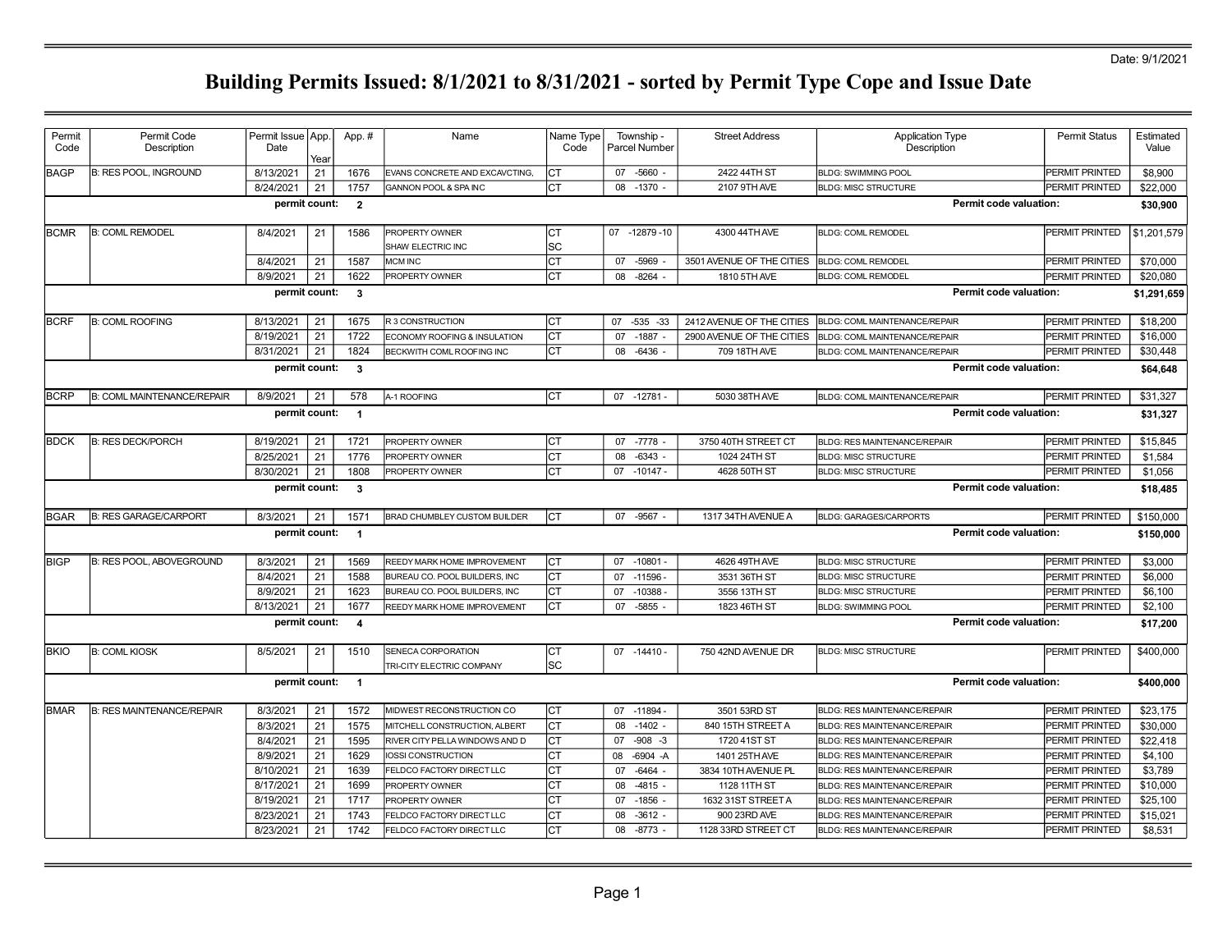### Date: 9/1/2021

| Permit       | Permit Code                       | Permit Issue App. |          | App.#          | Name                                | Name Type | Township -           | <b>Street Address</b>     | <b>Application Type</b>              | <b>Permit Status</b>  | Estimated   |
|--------------|-----------------------------------|-------------------|----------|----------------|-------------------------------------|-----------|----------------------|---------------------------|--------------------------------------|-----------------------|-------------|
| Code         | Description                       | Date              |          |                |                                     | Code      | <b>Parcel Number</b> |                           | Description                          |                       | Value       |
|              |                                   |                   | Year     |                |                                     |           |                      |                           |                                      |                       |             |
| <b>BAGP</b>  | <b>B: RES POOL, INGROUND</b>      | 8/13/2021         | 21       | 1676           | EVANS CONCRETE AND EXCAVCTING.      | CT        | 07 -5660 -           | 2422 44TH ST              | <b>BLDG: SWIMMING POOL</b>           | <b>PERMIT PRINTED</b> | \$8,900     |
|              |                                   | 8/24/2021         | 21       | 1757           | <b>GANNON POOL &amp; SPAINC</b>     | CT        | 08<br>$-1370 -$      | 2107 9TH AVE              | <b>BLDG: MISC STRUCTURE</b>          | <b>PERMIT PRINTED</b> | \$22,000    |
|              |                                   | permit count:     |          | $\overline{2}$ |                                     |           |                      |                           | <b>Permit code valuation:</b>        |                       | \$30,900    |
| <b>BCMR</b>  | <b>B: COML REMODEL</b>            | 8/4/2021          | 21       | 1586           | PROPERTY OWNER                      | CT        | 07 -12879 -10        | 4300 44TH AVE             | <b>BLDG: COML REMODEL</b>            | PERMIT PRINTED        | \$1,201,579 |
|              |                                   |                   |          |                | SHAW ELECTRIC INC                   | <b>SC</b> |                      |                           |                                      |                       |             |
|              |                                   | 8/4/2021          | 21       | 1587           | MCM INC                             | <b>CT</b> | $-5969$<br>07        | 3501 AVENUE OF THE CITIES | <b>BLDG: COML REMODEL</b>            | <b>PERMIT PRINTED</b> | \$70,000    |
|              |                                   | 8/9/2021          | 21       | 1622           | <b>PROPERTY OWNER</b>               | <b>CT</b> | 08<br>$-8264$ -      | 1810 5TH AVE              | <b>BLDG: COML REMODEL</b>            | PERMIT PRINTED        | \$20,080    |
|              |                                   | permit count:     |          | $\mathbf{3}$   |                                     |           |                      |                           | <b>Permit code valuation:</b>        |                       | \$1,291,659 |
| <b>BCRF</b>  | <b>B: COML ROOFING</b>            | 8/13/2021         | 21       | 1675           | R 3 CONSTRUCTION                    | <b>CT</b> | $-535 - 33$<br>07    | 2412 AVENUE OF THE CITIES | BLDG: COML MAINTENANCE/REPAIR        | <b>PERMIT PRINTED</b> | \$18,200    |
|              |                                   | 8/19/2021         | 21       | 1722           | ECONOMY ROOFING & INSULATION        | <b>CT</b> | $-1887 -$<br>07      | 2900 AVENUE OF THE CITIES | BLDG: COML MAINTENANCE/REPAIR        | <b>PERMIT PRINTED</b> | \$16,000    |
|              |                                   | 8/31/2021         | 21       | 1824           | <b>BECKWITH COML ROOFING INC</b>    | CT        | $-6436 -$<br>08      | 709 18TH AVE              | BLDG: COML MAINTENANCE/REPAIR        | PERMIT PRINTED        | \$30,448    |
|              |                                   | permit count:     |          | $\mathbf{3}$   |                                     |           |                      |                           | <b>Permit code valuation:</b>        |                       | \$64,648    |
|              |                                   |                   |          |                |                                     |           |                      |                           |                                      |                       |             |
| <b>BCRP</b>  | <b>B: COML MAINTENANCE/REPAIR</b> | 8/9/2021          | 21       | 578            | A-1 ROOFING                         | lст       | $07 - 12781$         | 5030 38TH AVE             | <b>BLDG: COML MAINTENANCE/REPAIR</b> | PERMIT PRINTED        | \$31,327    |
|              |                                   | permit count:     |          | $\overline{1}$ |                                     |           |                      |                           | Permit code valuation:               |                       | \$31,327    |
| <b>BDCK</b>  | <b>B: RES DECK/PORCH</b>          | 8/19/2021         | 21       | 1721           | PROPERTY OWNER                      | CT        | 07 -7778 -           | 3750 40TH STREET CT       | <b>BLDG: RES MAINTENANCE/REPAIR</b>  | <b>PERMIT PRINTED</b> | \$15,845    |
|              |                                   | 8/25/2021         | 21       | 1776           | PROPERTY OWNER                      | lст       | $-6343 -$<br>08      | 1024 24TH ST              | <b>BLDG: MISC STRUCTURE</b>          | <b>PERMIT PRINTED</b> | \$1,584     |
|              |                                   | 8/30/2021         | 21       | 1808           | PROPERTY OWNER                      | Іст       | $07 - 10147 -$       | 4628 50TH ST              | <b>BLDG: MISC STRUCTURE</b>          | PERMIT PRINTED        | \$1,056     |
|              |                                   | permit count:     |          | $\mathbf{3}$   |                                     |           |                      |                           | <b>Permit code valuation:</b>        |                       | \$18,485    |
|              |                                   |                   |          |                |                                     |           |                      |                           |                                      |                       |             |
|              |                                   |                   |          |                |                                     |           |                      |                           |                                      |                       |             |
| <b>BGAR</b>  | <b>B: RES GARAGE/CARPORT</b>      | 8/3/2021          | 21       | 1571           | <b>BRAD CHUMBLEY CUSTOM BUILDER</b> | Iст       | 07 - 9567            | 1317 34TH AVENUE A        | <b>BLDG: GARAGES/CARPORTS</b>        | PERMIT PRINTED        | \$150,000   |
|              |                                   | permit count:     |          | $\overline{1}$ |                                     |           |                      |                           | <b>Permit code valuation:</b>        |                       | \$150,000   |
| <b>BIGP</b>  | <b>B: RES POOL, ABOVEGROUND</b>   | 8/3/2021          | 21       | 1569           | REEDY MARK HOME IMPROVEMENT         | <b>CT</b> | $-10801 -$<br>07     | 4626 49TH AVE             | <b>BLDG: MISC STRUCTURE</b>          | <b>PERMIT PRINTED</b> | \$3,000     |
|              |                                   | 8/4/2021          | 21       | 1588           | BUREAU CO. POOL BUILDERS, INC       | <b>CT</b> | 07<br>$-11596 -$     | 3531 36TH ST              | <b>BLDG: MISC STRUCTURE</b>          | <b>PERMIT PRINTED</b> | \$6,000     |
|              |                                   | 8/9/2021          | 21       | 1623           | BUREAU CO. POOL BUILDERS. INC       | CT        | $-10388 -$<br>07     | 3556 13TH ST              | <b>BLDG: MISC STRUCTURE</b>          | PERMIT PRINTED        | \$6,100     |
|              |                                   | 8/13/2021         | 21       | 1677           | REEDY MARK HOME IMPROVEMENT         | Іст       | 07 -5855 -           | 1823 46TH ST              | <b>BLDG: SWIMMING POOL</b>           | PERMIT PRINTED        | \$2,100     |
|              |                                   | permit count:     |          | $\overline{4}$ |                                     |           |                      |                           | Permit code valuation:               |                       | \$17,200    |
| <b>IBKIO</b> | <b>B: COML KIOSK</b>              | 8/5/2021          | 21       | 1510           | SENECA CORPORATION                  | IСТ       | $07 - 14410 -$       | 750 42ND AVENUE DR        | <b>BLDG: MISC STRUCTURE</b>          | PERMIT PRINTED        | \$400,000   |
|              |                                   |                   |          |                | TRI-CITY ELECTRIC COMPANY           | <b>SC</b> |                      |                           |                                      |                       |             |
|              |                                   | permit count: 1   |          |                |                                     |           |                      |                           | Permit code valuation:               |                       | \$400,000   |
| <b>BMAR</b>  | B: RES MAINTENANCE/REPAIR         | 8/3/2021          | 21       | 1572           | MIDWEST RECONSTRUCTION CO           | CT        | 07<br>$-11894$       | 3501 53RD ST              | <b>BLDG: RES MAINTENANCE/REPAIR</b>  | <b>PERMIT PRINTED</b> | \$23,175    |
|              |                                   | 8/3/2021          | 21       | 1575           | MITCHELL CONSTRUCTION, ALBERT       | Іст       | $-1402 -$<br>08      | 840 15TH STREET A         | <b>BLDG: RES MAINTENANCE/REPAIR</b>  | PERMIT PRINTED        | \$30,000    |
|              |                                   | 8/4/2021          | 21       | 1595           | RIVER CITY PELLA WINDOWS AND D      | СT        | $-908 - 3$<br>07     | 1720 41ST ST              | BLDG: RES MAINTENANCE/REPAIR         | PERMIT PRINTED        | \$22,418    |
|              |                                   | 8/9/2021          | 21       | 1629           | IOSSI CONSTRUCTION                  | CT        | 08<br>$-6904 - A$    | 1401 25TH AVE             | <b>BLDG: RES MAINTENANCE/REPAIR</b>  | PERMIT PRINTED        | \$4,100     |
|              |                                   | 8/10/2021         | 21       | 1639           | FELDCO FACTORY DIRECT LLC           | CT        | $-6464$ -<br>07      | 3834 10TH AVENUE PL       | <b>BLDG: RES MAINTENANCE/REPAIR</b>  | <b>PERMIT PRINTED</b> | \$3,789     |
|              |                                   | 8/17/2021         | 21       | 1699           | PROPERTY OWNER                      | CT        | 08<br>$-4815 -$      | 1128 11TH ST              | BLDG: RES MAINTENANCE/REPAIR         | PERMIT PRINTED        | \$10,000    |
|              |                                   | 8/19/2021         | 21       | 1717           | PROPERTY OWNER                      | <b>CT</b> | 07<br>$-1856$        | 1632 31ST STREET A        | <b>BLDG: RES MAINTENANCE/REPAIR</b>  | <b>PERMIT PRINTED</b> | \$25,100    |
|              |                                   | 8/23/2021         | 21<br>21 | 1743           | FELDCO FACTORY DIRECT LLC           | CT        | 08<br>$-3612 -$      | 900 23RD AVE              | <b>BLDG: RES MAINTENANCE/REPAIR</b>  | PERMIT PRINTED        | \$15,021    |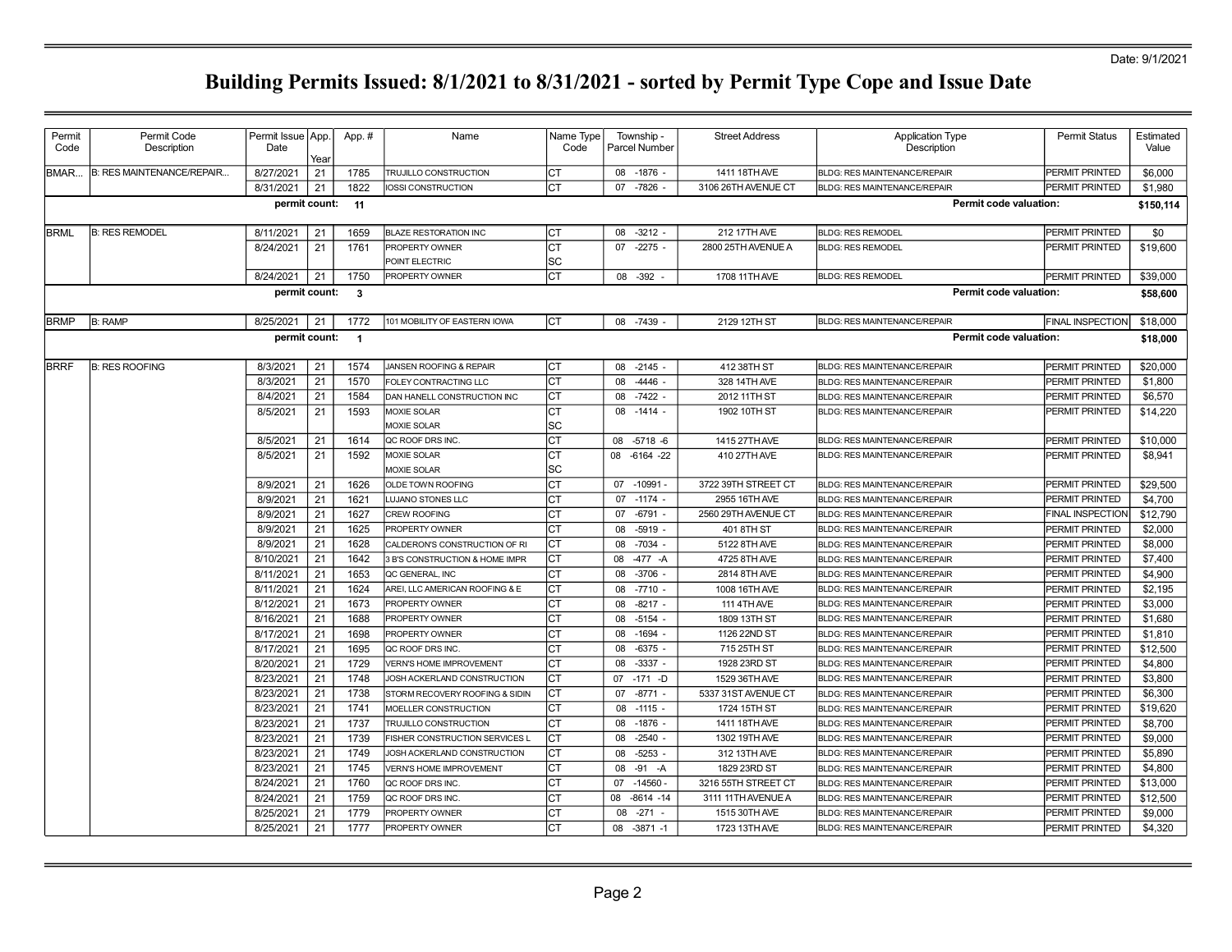### Date: 9/1/2021

| Permit      | Permit Code               | Permit Issue   App.   |            | App.#                   | Name                                              | Name Type  | Township -                          | <b>Street Address</b>        | <b>Application Type</b>                                                    | Permit Status                    | Estimated          |
|-------------|---------------------------|-----------------------|------------|-------------------------|---------------------------------------------------|------------|-------------------------------------|------------------------------|----------------------------------------------------------------------------|----------------------------------|--------------------|
| Code        | Description               | Date                  |            |                         |                                                   | Code       | Parcel Number                       |                              | Description                                                                |                                  | Value              |
| BMAR        | B: RES MAINTENANCE/REPAIR | 8/27/2021             | Year<br>21 | 1785                    | <b>TRUJILLO CONSTRUCTION</b>                      | Iст        | 08 -1876 -                          | 1411 18TH AVE                | <b>BLDG: RES MAINTENANCE/REPAIR</b>                                        | <b>PERMIT PRINTED</b>            | \$6,000            |
|             |                           | 8/31/2021             | 21         | 1822                    | IOSSI CONSTRUCTION                                | Iст        | -7826<br>07                         | 3106 26TH AVENUE CT          | <b>BLDG: RES MAINTENANCE/REPAIR</b>                                        | PERMIT PRINTED                   | \$1,980            |
|             |                           | permit count:         |            | 11                      |                                                   |            |                                     |                              | Permit code valuation:                                                     |                                  | \$150,114          |
|             |                           |                       |            |                         |                                                   |            |                                     |                              |                                                                            |                                  |                    |
| <b>BRML</b> | <b>B: RES REMODEL</b>     | 8/11/2021             | 21         | 1659                    | <b>BLAZE RESTORATION INC</b>                      | IСT        | $-3212 -$<br>08                     | 212 17TH AVE                 | <b>BLDG: RES REMODEL</b>                                                   | PERMIT PRINTED                   | \$0                |
|             |                           | 8/24/2021             | 21         | 1761                    | PROPERTY OWNER                                    | Iст        | $-2275 -$<br>07                     | 2800 25TH AVENUE A           | <b>BLDG: RES REMODEL</b>                                                   | PERMIT PRINTED                   | \$19,600           |
|             |                           |                       |            |                         | POINT ELECTRIC                                    | lsc        |                                     |                              |                                                                            |                                  |                    |
|             |                           | 8/24/2021             | 21         | 1750                    | PROPERTY OWNER                                    | Iст        | 08 - 392 -                          | 1708 11TH AVE                | <b>BLDG: RES REMODEL</b>                                                   | <b>PERMIT PRINTED</b>            | \$39,000           |
|             |                           | permit count:         |            | $\mathbf{3}$            |                                                   |            |                                     |                              | Permit code valuation:                                                     |                                  | \$58,600           |
| <b>BRMP</b> | <b>B: RAMP</b>            | 8/25/2021             | 21         | 1772                    | 101 MOBILITY OF EASTERN IOWA                      | Іст        | $-7439$<br>08                       | 2129 12TH ST                 | <b>BLDG: RES MAINTENANCE/REPAIR</b>                                        | <b>FINAL INSPECTION</b>          | \$18,000           |
|             |                           | permit count:         |            | $\overline{\mathbf{1}}$ |                                                   |            |                                     |                              | Permit code valuation:                                                     |                                  | \$18,000           |
|             |                           |                       |            |                         |                                                   |            |                                     |                              |                                                                            |                                  |                    |
| <b>BRRF</b> | <b>B: RES ROOFING</b>     | 8/3/2021              | 21         | 1574                    | JANSEN ROOFING & REPAIR                           | Iст        | $-2145 -$<br>08                     | 412 38TH ST                  | BLDG: RES MAINTENANCE/REPAIR                                               | <b>PERMIT PRINTED</b>            | \$20,000           |
|             |                           | 8/3/2021              | 21         | 1570                    | FOLEY CONTRACTING LLC                             | lст        | 08<br>$-4446 -$                     | 328 14TH AVE                 | <b>BLDG: RES MAINTENANCE/REPAIR</b>                                        | <b>PERMIT PRINTED</b>            | \$1,800            |
|             |                           | 8/4/2021              | 21         | 1584                    | DAN HANELL CONSTRUCTION INC                       | Iст        | $-7422$<br>08                       | 2012 11TH ST                 | <b>BLDG: RES MAINTENANCE/REPAIR</b>                                        | PERMIT PRINTED                   | \$6,570            |
|             |                           | 8/5/2021              | 21         | 1593                    | MOXIE SOLAR                                       | Iст        | $08 - 1414 -$                       | 1902 10TH ST                 | <b>BLDG: RES MAINTENANCE/REPAIR</b>                                        | PERMIT PRINTED                   | \$14,220           |
|             |                           |                       |            |                         | MOXIE SOLAR                                       | lsc        |                                     |                              |                                                                            |                                  |                    |
|             |                           | 8/5/2021              | 21         | 1614                    | QC ROOF DRS INC.                                  | Iст        | 08 -5718 -6                         | 1415 27TH AVE                | <b>BLDG: RES MAINTENANCE/REPAIR</b>                                        | PERMIT PRINTED                   | \$10,000           |
|             |                           | 8/5/2021              | 21         | 1592                    | <b>MOXIE SOLAR</b>                                | Iст        | 08<br>$-6164 -22$                   | 410 27TH AVE                 | <b>BLDG: RES MAINTENANCE/REPAIR</b>                                        | PERMIT PRINTED                   | \$8,941            |
|             |                           |                       |            |                         | MOXIE SOLAR                                       | SC         |                                     |                              |                                                                            |                                  |                    |
|             |                           | 8/9/2021              | 21         | 1626                    | OLDE TOWN ROOFING                                 | Iст        | $-10991 -$<br>07                    | 3722 39TH STREET CT          | <b>BLDG: RES MAINTENANCE/REPAIR</b>                                        | PERMIT PRINTED                   | \$29,500           |
|             |                           | 8/9/2021              | 21         | 1621                    | LUJANO STONES LLC                                 | Iст        | 07<br>$-1174 -$                     | 2955 16TH AVE                | <b>BLDG: RES MAINTENANCE/REPAIR</b>                                        | <b>PERMIT PRINTED</b>            | \$4,700            |
|             |                           | 8/9/2021              | 21         | 1627                    | CREW ROOFING                                      | Iст        | $-6791 -$<br>07                     | 2560 29TH AVENUE CT          | <b>BLDG: RES MAINTENANCE/REPAIR</b>                                        | FINAL INSPECTION                 | \$12,790           |
|             |                           | 8/9/2021              | 21         | 1625                    | PROPERTY OWNER                                    | Iст        | $-5919 -$<br>08                     | 401 8TH ST                   | BLDG: RES MAINTENANCE/REPAIR                                               | PERMIT PRINTED                   | \$2,000            |
|             |                           | 8/9/2021<br>8/10/2021 | 21<br>21   | 1628                    | CALDERON'S CONSTRUCTION OF RI                     | Iст<br>lст | $-7034 -$<br>08<br>$-477 - A$<br>08 | 5122 8TH AVE<br>4725 8TH AVE | <b>BLDG: RES MAINTENANCE/REPAIR</b>                                        | PERMIT PRINTED                   | \$8,000            |
|             |                           | 8/11/2021             | 21         | 1642<br>1653            | 3 B'S CONSTRUCTION & HOME IMPR<br>QC GENERAL, INC | lст        | $-3706$<br>08                       | 2814 8TH AVE                 | <b>BLDG: RES MAINTENANCE/REPAIR</b><br><b>BLDG: RES MAINTENANCE/REPAIR</b> | PERMIT PRINTED<br>PERMIT PRINTED | \$7,400<br>\$4,900 |
|             |                           | 8/11/2021             | 21         | 1624                    | AREI, LLC AMERICAN ROOFING & E                    | lст        | 08<br>$-7710 -$                     | 1008 16TH AVE                | <b>BLDG: RES MAINTENANCE/REPAIR</b>                                        | PERMIT PRINTED                   | \$2,195            |
|             |                           | 8/12/2021             | 21         | 1673                    | PROPERTY OWNER                                    | Iст        | $-8217 -$<br>08                     | 111 4TH AVE                  | <b>BLDG: RES MAINTENANCE/REPAIR</b>                                        | PERMIT PRINTED                   | \$3,000            |
|             |                           | 8/16/2021             | 21         | 1688                    | PROPERTY OWNER                                    | Iст        | $-5154$<br>08                       | 1809 13TH ST                 | <b>BLDG: RES MAINTENANCE/REPAIR</b>                                        | <b>PERMIT PRINTED</b>            | \$1,680            |
|             |                           | 8/17/2021             | 21         | 1698                    | PROPERTY OWNER                                    | Iст        | 08<br>$-1694$                       | 1126 22ND ST                 | <b>BLDG: RES MAINTENANCE/REPAIR</b>                                        | PERMIT PRINTED                   | \$1,810            |
|             |                           | 8/17/2021             | 21         | 1695                    | QC ROOF DRS INC.                                  | Iст        | $-6375 -$<br>08                     | 715 25TH ST                  | <b>BLDG: RES MAINTENANCE/REPAIR</b>                                        | PERMIT PRINTED                   | \$12,500           |
|             |                           | 8/20/2021             | 21         | 1729                    | <b>VERN'S HOME IMPROVEMENT</b>                    | Iст        | $-3337 -$<br>08                     | 1928 23RD ST                 | <b>BLDG: RES MAINTENANCE/REPAIR</b>                                        | PERMIT PRINTED                   | \$4,800            |
|             |                           | 8/23/2021             | 21         | 1748                    | JOSH ACKERLAND CONSTRUCTION                       | Iст        | $-171 - D$<br>07                    | 1529 36TH AVE                | BLDG: RES MAINTENANCE/REPAIR                                               | PERMIT PRINTED                   | \$3,800            |
|             |                           | 8/23/2021             | 21         | 1738                    | STORM RECOVERY ROOFING & SIDIN                    | lст        | $-8771 -$<br>07                     | 5337 31ST AVENUE CT          | <b>BLDG: RES MAINTENANCE/REPAIR</b>                                        | PERMIT PRINTED                   | \$6,300            |
|             |                           | 8/23/2021             | 21         | 1741                    | MOELLER CONSTRUCTION                              | Iст        | $-1115 -$<br>08                     | 1724 15TH ST                 | <b>BLDG: RES MAINTENANCE/REPAIR</b>                                        | PERMIT PRINTED                   | \$19,620           |
|             |                           | 8/23/2021             | 21         | 1737                    | TRUJILLO CONSTRUCTION                             | Iст        | $-1876$<br>08                       | 1411 18TH AVE                | <b>BLDG: RES MAINTENANCE/REPAIR</b>                                        | PERMIT PRINTED                   | \$8,700            |
|             |                           | 8/23/2021             | 21         | 1739                    | FISHER CONSTRUCTION SERVICES L                    | Iст        | 08<br>$-2540 -$                     | 1302 19TH AVE                | <b>BLDG: RES MAINTENANCE/REPAIR</b>                                        | PERMIT PRINTED                   | \$9,000            |
|             |                           | 8/23/2021             | 21         | 1749                    | JOSH ACKERLAND CONSTRUCTION                       | Iст        | 08<br>$-5253$                       | 312 13TH AVE                 | <b>BLDG: RES MAINTENANCE/REPAIR</b>                                        | PERMIT PRINTED                   | \$5.890            |
|             |                           | 8/23/2021             | 21         | 1745                    | <b>VERN'S HOME IMPROVEMENT</b>                    | Iст        | 08<br>$-91 - A$                     | 1829 23RD ST                 | <b>BLDG: RES MAINTENANCE/REPAIR</b>                                        | PERMIT PRINTED                   | \$4,800            |
|             |                           | 8/24/2021             | 21         | 1760                    | QC ROOF DRS INC.                                  | Iст        | $-14560 -$<br>07                    | 3216 55TH STREET CT          | <b>BLDG: RES MAINTENANCE/REPAIR</b>                                        | PERMIT PRINTED                   | \$13,000           |
|             |                           | 8/24/2021             | 21         | 1759                    | QC ROOF DRS INC.                                  | Iст        | 08<br>$-8614 - 14$                  | 3111 11TH AVENUE A           | BLDG: RES MAINTENANCE/REPAIR                                               | PERMIT PRINTED                   | \$12,500           |
|             |                           | 8/25/2021             | 21         | 1779                    | PROPERTY OWNER                                    | Iст        | $-271 -$<br>08                      | 1515 30TH AVE                | <b>BLDG: RES MAINTENANCE/REPAIR</b>                                        | PERMIT PRINTED                   | \$9,000            |
|             |                           | 8/25/2021             | 21         | 1777                    | PROPERTY OWNER                                    | Iст        | 08 -3871 -1                         | 1723 13TH AVE                | <b>BLDG: RES MAINTENANCE/REPAIR</b>                                        | <b>PERMIT PRINTED</b>            | \$4,320            |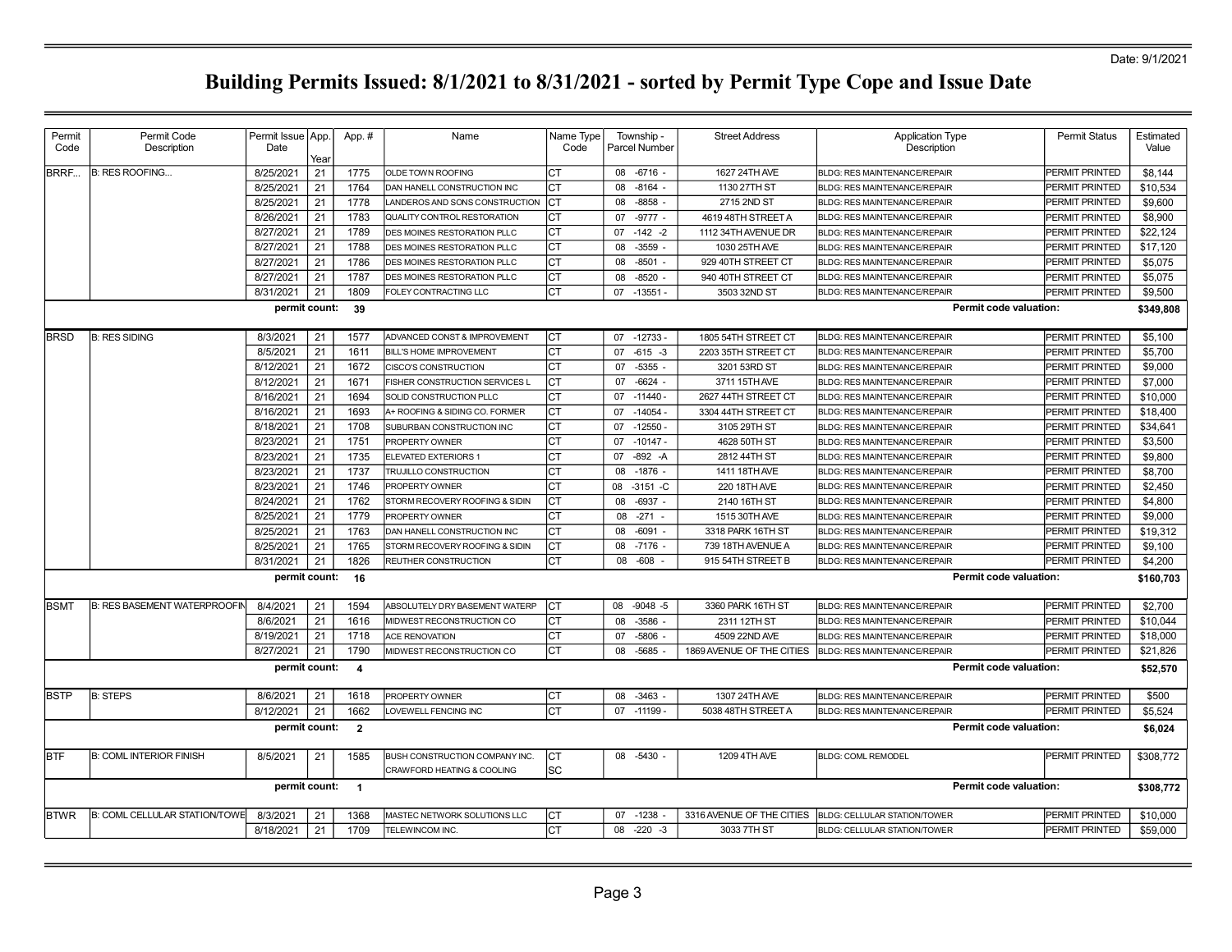| Permit      | Permit Code                         | Permit Issue   App. |      | App. #                   | Name                                                                | Name Type  | Township          | <b>Street Address</b>     | <b>Application Type</b>             | <b>Permit Status</b>  | Estimated |
|-------------|-------------------------------------|---------------------|------|--------------------------|---------------------------------------------------------------------|------------|-------------------|---------------------------|-------------------------------------|-----------------------|-----------|
| Code        | Description                         | Date                | Year |                          |                                                                     | Code       | Parcel Number     |                           | Description                         |                       | Value     |
| BRRF        | <b>B: RES ROOFING</b>               | 8/25/2021           | 21   | 1775                     | <b>OLDE TOWN ROOFING</b>                                            | Iст        | 08 -6716 -        | 1627 24TH AVE             | <b>BLDG: RES MAINTENANCE/REPAIR</b> | PERMIT PRINTED        | \$8,144   |
|             |                                     | 8/25/2021           | 21   | 1764                     | DAN HANELL CONSTRUCTION INC                                         | CT         | $-8164$<br>08     | 1130 27TH ST              | <b>BLDG: RES MAINTENANCE/REPAIR</b> | PERMIT PRINTED        | \$10,534  |
|             |                                     | 8/25/2021           | 21   | 1778                     | LANDEROS AND SONS CONSTRUCTION                                      | Iст        | $-8858$<br>08     | 2715 2ND ST               | BLDG: RES MAINTENANCE/REPAIR        | PERMIT PRINTED        | \$9,600   |
|             |                                     | 8/26/2021           | 21   | 1783                     | QUALITY CONTROL RESTORATION                                         | CТ         | $-9777 -$<br>07   | 4619 48TH STREET A        | <b>BLDG: RES MAINTENANCE/REPAIR</b> | PERMIT PRINTED        | \$8,900   |
|             |                                     | 8/27/2021           | 21   | 1789                     | DES MOINES RESTORATION PLLC                                         | СT         | 07<br>$-142 -2$   | 1112 34TH AVENUE DR       | BLDG: RES MAINTENANCE/REPAIR        | PERMIT PRINTED        | \$22,124  |
|             |                                     | 8/27/2021           | 21   | 1788                     | <b>IDES MOINES RESTORATION PLLC</b>                                 | CT         | $-3559 -$<br>08   | 1030 25TH AVE             | <b>BLDG: RES MAINTENANCE/REPAIR</b> | <b>PERMIT PRINTED</b> | \$17,120  |
|             |                                     | 8/27/2021           | 21   | 1786                     | <b>DES MOINES RESTORATION PLLC</b>                                  | СT         | $-8501 -$<br>08   | 929 40TH STREET CT        | <b>BLDG: RES MAINTENANCE/REPAIR</b> | PERMIT PRINTED        | \$5,075   |
|             |                                     | 8/27/2021           | 21   | 1787                     | <b>DES MOINES RESTORATION PLLC</b>                                  | Iст        | $-8520$ -<br>08   | 940 40TH STREET CT        | BLDG: RES MAINTENANCE/REPAIR        | PERMIT PRINTED        | \$5,075   |
|             |                                     | 8/31/2021           | 21   | 1809                     | FOLEY CONTRACTING LLC                                               | <b>CT</b>  | $-13551 -$<br>07  | 3503 32ND ST              | BLDG: RES MAINTENANCE/REPAIR        | PERMIT PRINTED        | \$9,500   |
|             |                                     | permit count:       |      | - 39                     |                                                                     |            |                   |                           | Permit code valuation:              |                       | \$349,808 |
| <b>BRSD</b> | <b>B: RES SIDING</b>                | 8/3/2021            | 21   | 1577                     | ADVANCED CONST & IMPROVEMENT                                        | Iст        | 07 -12733 -       | 1805 54TH STREET CT       | <b>BLDG: RES MAINTENANCE/REPAIR</b> | <b>PERMIT PRINTED</b> | \$5,100   |
|             |                                     | 8/5/2021            | 21   | 1611                     | <b>BILL'S HOME IMPROVEMENT</b>                                      | <b>CT</b>  | $-615 - 3$<br>07  | 2203 35TH STREET CT       | <b>BLDG: RES MAINTENANCE/REPAIR</b> | PERMIT PRINTED        | \$5,700   |
|             |                                     | 8/12/2021           | 21   | 1672                     | <b>CISCO'S CONSTRUCTION</b>                                         | СT         | 07<br>$-5355 -$   | 3201 53RD ST              | BLDG: RES MAINTENANCE/REPAIR        | PERMIT PRINTED        | \$9,000   |
|             |                                     | 8/12/2021           | 21   | 1671                     | FISHER CONSTRUCTION SERVICES L                                      | Iст        | $-6624 -$<br>07   | 3711 15TH AVE             | <b>BLDG: RES MAINTENANCE/REPAIR</b> | PERMIT PRINTED        | \$7,000   |
|             |                                     | 8/16/2021           | 21   | 1694                     | SOLID CONSTRUCTION PLLC                                             | <b>CT</b>  | $-11440 -$<br>07  | 2627 44TH STREET CT       | <b>BLDG: RES MAINTENANCE/REPAIR</b> | PERMIT PRINTED        | \$10,000  |
|             |                                     | 8/16/2021           | 21   | 1693                     | A+ ROOFING & SIDING CO. FORMER                                      | Iст        | $-14054 -$<br>07  | 3304 44TH STREET CT       | BLDG: RES MAINTENANCE/REPAIR        | PERMIT PRINTED        | \$18,400  |
|             |                                     | 8/18/2021           | 21   | 1708                     | SUBURBAN CONSTRUCTION INC                                           | <b>CT</b>  | $-12550 -$<br>07  | 3105 29TH ST              | BLDG: RES MAINTENANCE/REPAIR        | PERMIT PRINTED        | \$34,641  |
|             |                                     | 8/23/2021           | 21   | 1751                     | <b>PROPERTY OWNER</b>                                               | Iст        | 07<br>$-10147 -$  | 4628 50TH ST              | BLDG: RES MAINTENANCE/REPAIR        | PERMIT PRINTED        | \$3,500   |
|             |                                     | 8/23/2021           | 21   | 1735                     | ELEVATED EXTERIORS 1                                                | <b>CT</b>  | $-892 - A$<br>07  | 2812 44TH ST              | BLDG: RES MAINTENANCE/REPAIR        | PERMIT PRINTED        | \$9,800   |
|             |                                     | 8/23/2021           | 21   | 1737                     | TRUJILLO CONSTRUCTION                                               | <b>CT</b>  | 08<br>$-1876$ .   | 1411 18TH AVE             | <b>BLDG: RES MAINTENANCE/REPAIR</b> | PERMIT PRINTED        | \$8,700   |
|             |                                     | 8/23/2021           | 21   | 1746                     | <b>PROPERTY OWNER</b>                                               | CT         | $-3151 - C$<br>08 | 220 18TH AVE              | BLDG: RES MAINTENANCE/REPAIR        | PERMIT PRINTED        | \$2,450   |
|             |                                     | 8/24/2021           | 21   | 1762                     | STORM RECOVERY ROOFING & SIDIN                                      | СT         | 80<br>$-6937$     | 2140 16TH ST              | BLDG: RES MAINTENANCE/REPAIR        | PERMIT PRINTED        | \$4,800   |
|             |                                     | 8/25/2021           | 21   | 1779                     | PROPERTY OWNER                                                      | CT         | $-271 -$<br>08    | 1515 30TH AVE             | <b>BLDG: RES MAINTENANCE/REPAIR</b> | <b>PERMIT PRINTED</b> | \$9,000   |
|             |                                     | 8/25/2021           | 21   | 1763                     | DAN HANELL CONSTRUCTION INC                                         | <b>CT</b>  | 80<br>$-6091$     | 3318 PARK 16TH ST         | <b>BLDG: RES MAINTENANCE/REPAIR</b> | PERMIT PRINTED        | \$19,312  |
|             |                                     | 8/25/2021           | 21   | 1765                     | STORM RECOVERY ROOFING & SIDIN                                      | Iст        | $-7176$ -<br>08   | 739 18TH AVENUE A         | BLDG: RES MAINTENANCE/REPAIR        | PERMIT PRINTED        | \$9,100   |
|             |                                     | 8/31/2021           | 21   | 1826                     | REUTHER CONSTRUCTION                                                | <b>CT</b>  | $-608$<br>08      | 915 54TH STREET B         | BLDG: RES MAINTENANCE/REPAIR        | PERMIT PRINTED        | \$4,200   |
|             |                                     | permit count:       |      | 16                       |                                                                     |            |                   |                           | Permit code valuation:              |                       | \$160,703 |
| <b>BSMT</b> | <b>B: RES BASEMENT WATERPROOFIN</b> | 8/4/2021            | 21   | 1594                     | ABSOLUTELY DRY BASEMENT WATERP                                      | Iст        | $-9048 - 5$<br>08 | 3360 PARK 16TH ST         | <b>BLDG: RES MAINTENANCE/REPAIR</b> | PERMIT PRINTED        | \$2,700   |
|             |                                     | 8/6/2021            | 21   | 1616                     | MIDWEST RECONSTRUCTION CO                                           | СT         | $-3586$<br>08     | 2311 12TH ST              | <b>BLDG: RES MAINTENANCE/REPAIR</b> | PERMIT PRINTED        | \$10,044  |
|             |                                     | 8/19/2021           | 21   | 1718                     | <b>ACE RENOVATION</b>                                               | СT         | 07<br>$-5806$     | 4509 22ND AVE             | BLDG: RES MAINTENANCE/REPAIR        | PERMIT PRINTED        | \$18,000  |
|             |                                     | 8/27/2021           | 21   | 1790                     | MIDWEST RECONSTRUCTION CO                                           | СT         | $-5685$<br>08     | 1869 AVENUE OF THE CITIES | BLDG: RES MAINTENANCE/REPAIR        | PERMIT PRINTED        | \$21,826  |
|             |                                     | permit count:       |      | $\overline{\mathbf{4}}$  |                                                                     |            |                   |                           | <b>Permit code valuation:</b>       |                       | \$52,570  |
|             |                                     |                     |      |                          |                                                                     |            |                   |                           |                                     |                       |           |
| <b>BSTP</b> | <b>B: STEPS</b>                     | 8/6/2021            | 21   | 1618                     | <b>PROPERTY OWNER</b>                                               | CT         | 08 -3463 -        | 1307 24TH AVE             | <b>BLDG: RES MAINTENANCE/REPAIR</b> | <b>PERMIT PRINTED</b> | \$500     |
|             |                                     | 8/12/2021           | 21   | 1662                     | LOVEWELL FENCING INC                                                | Iст        | 07 -11199 -       | 5038 48TH STREET A        | BLDG: RES MAINTENANCE/REPAIR        | PERMIT PRINTED        | \$5,524   |
|             |                                     | permit count:       |      | $\overline{\mathbf{2}}$  |                                                                     |            |                   |                           | Permit code valuation:              |                       | \$6,024   |
| <b>BTF</b>  | <b>B: COML INTERIOR FINISH</b>      | 8/5/2021            | 21   | 1585                     | <b>BUSH CONSTRUCTION COMPANY INC.</b><br>CRAWFORD HEATING & COOLING | IСТ<br>lsc | $08 - 5430$       | 1209 4TH AVE              | <b>BLDG: COML REMODEL</b>           | <b>PERMIT PRINTED</b> | \$308,772 |
|             |                                     | permit count:       |      | $\overline{\phantom{0}}$ |                                                                     |            |                   |                           | Permit code valuation:              |                       | \$308,772 |
| <b>BTWR</b> | B: COML CELLULAR STATION/TOWE       | 8/3/2021            | 21   | 1368                     | MASTEC NETWORK SOLUTIONS LLC                                        | IСТ        | $-1238$<br>07     | 3316 AVENUE OF THE CITIES | BLDG: CELLULAR STATION/TOWER        | <b>PERMIT PRINTED</b> | \$10,000  |
|             |                                     | 8/18/2021           | 21   | 1709                     | TELEWINCOM INC.                                                     | Iст        | 08 -220 -3        | 3033 7TH ST               | BLDG: CELLULAR STATION/TOWER        | PERMIT PRINTED        | \$59,000  |
|             |                                     |                     |      |                          |                                                                     |            |                   |                           |                                     |                       |           |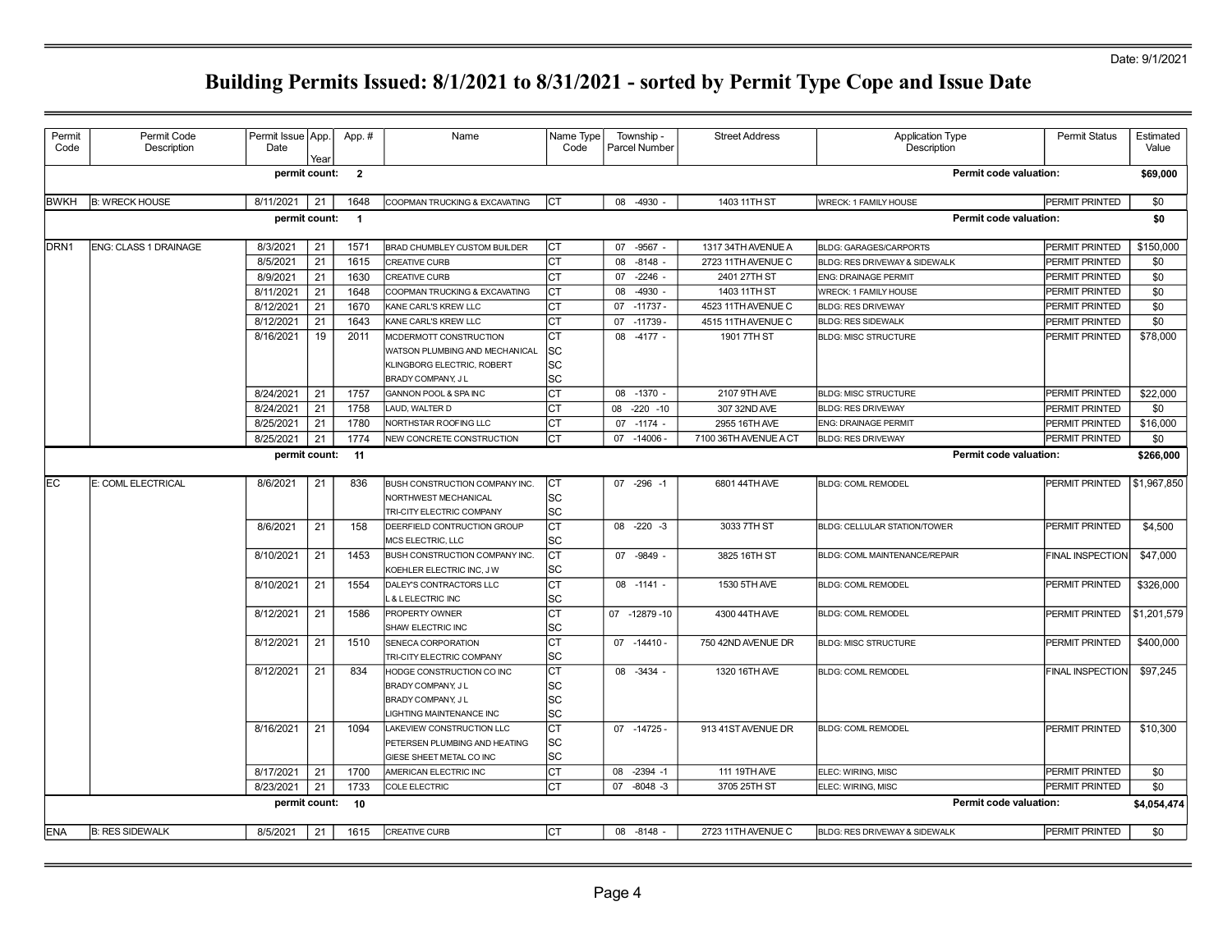| Permit<br>Code   | Permit Code<br>Description | Permit Issue   App.<br>Date | Year | App. #                   | Name                                                                                            | Name Type<br>Code        | Township -<br>Parcel Number | <b>Street Address</b> | <b>Application Type</b><br>Description | <b>Permit Status</b>    | Estimated<br>Value |
|------------------|----------------------------|-----------------------------|------|--------------------------|-------------------------------------------------------------------------------------------------|--------------------------|-----------------------------|-----------------------|----------------------------------------|-------------------------|--------------------|
|                  |                            | permit count:               |      | $\overline{\phantom{a}}$ |                                                                                                 |                          |                             |                       | <b>Permit code valuation:</b>          |                         | \$69,000           |
| <b>IBWKH</b>     | <b>B: WRECK HOUSE</b>      | 8/11/2021                   | 21   | 1648                     | COOPMAN TRUCKING & EXCAVATING                                                                   | Іст                      | 08 -4930 -                  | 1403 11TH ST          | WRECK: 1 FAMILY HOUSE                  | PERMIT PRINTED          | \$0                |
|                  |                            | permit count:               |      | $\overline{1}$           |                                                                                                 |                          |                             |                       | Permit code valuation:                 |                         | \$0                |
| DRN <sub>1</sub> | ENG: CLASS 1 DRAINAGE      | 8/3/2021                    | 21   | 1571                     | <b>BRAD CHUMBLEY CUSTOM BUILDER</b>                                                             | CT                       | $-9567 -$<br>07             | 1317 34TH AVENUE A    | <b>BLDG: GARAGES/CARPORTS</b>          | PERMIT PRINTED          | \$150,000          |
|                  |                            | 8/5/2021                    | 21   | 1615                     | <b>CREATIVE CURB</b>                                                                            | Iст                      | 08<br>$-8148 -$             | 2723 11TH AVENUE C    | BLDG: RES DRIVEWAY & SIDEWALK          | PERMIT PRINTED          | \$0                |
|                  |                            | 8/9/2021                    | 21   | 1630                     | <b>CREATIVE CURB</b>                                                                            | <b>CT</b>                | $-2246 -$<br>07             | 2401 27TH ST          | <b>ENG: DRAINAGE PERMIT</b>            | PERMIT PRINTED          | \$0                |
|                  |                            | 8/11/2021                   | 21   | 1648                     | COOPMAN TRUCKING & EXCAVATING                                                                   | Iст                      | 80<br>$-4930 -$             | 1403 11TH ST          | WRECK: 1 FAMILY HOUSE                  | PERMIT PRINTED          | \$0                |
|                  |                            | 8/12/2021                   | 21   | 1670                     | KANE CARL'S KREW LLC                                                                            | Iст                      | $-11737 -$<br>07            | 4523 11TH AVENUE C    | <b>BLDG: RES DRIVEWAY</b>              | PERMIT PRINTED          | \$0                |
|                  |                            | 8/12/2021                   | 21   | 1643                     | KANE CARL'S KREW LLC                                                                            | lст                      | 07<br>$-11739-$             | 4515 11TH AVENUE C    | <b>BLDG: RES SIDEWALK</b>              | PERMIT PRINTED          | \$0                |
|                  |                            | 8/16/2021                   | 19   | 2011                     | MCDERMOTT CONSTRUCTION                                                                          | Iст                      | $-4177 -$<br>08             | 1901 7TH ST           | <b>BLDG: MISC STRUCTURE</b>            | PERMIT PRINTED          | \$78,000           |
|                  |                            |                             |      |                          | WATSON PLUMBING AND MECHANICAL                                                                  | SC                       |                             |                       |                                        |                         |                    |
|                  |                            |                             |      |                          | KLINGBORG ELECTRIC, ROBERT                                                                      | SC                       |                             |                       |                                        |                         |                    |
|                  |                            |                             |      |                          | BRADY COMPANY, JL                                                                               | lsc                      |                             |                       |                                        |                         |                    |
|                  |                            | 8/24/2021                   | 21   | 1757                     | GANNON POOL & SPA INC                                                                           | <b>CT</b>                | 08<br>$-1370 -$             | 2107 9TH AVE          | <b>BLDG: MISC STRUCTURE</b>            | PERMIT PRINTED          | \$22,000           |
|                  |                            | 8/24/2021                   | 21   | 1758                     | LAUD, WALTER D                                                                                  | Iст                      | 08<br>$-220 - 10$           | 307 32ND AVE          | <b>BLDG: RES DRIVEWAY</b>              | PERMIT PRINTED          | \$0                |
|                  |                            | 8/25/2021                   | 21   | 1780                     | NORTHSTAR ROOFING LLC                                                                           | Iст                      | $-1174 -$<br>07             | 2955 16TH AVE         | <b>ENG: DRAINAGE PERMIT</b>            | PERMIT PRINTED          | \$16,000           |
|                  |                            | 8/25/2021                   | 21   | 1774                     | NEW CONCRETE CONSTRUCTION                                                                       | lст                      | 07 -14006 -                 | 7100 36TH AVENUE A CT | <b>BLDG: RES DRIVEWAY</b>              | PERMIT PRINTED          | \$0                |
|                  |                            | permit count:               |      | $-11$                    |                                                                                                 |                          |                             |                       | Permit code valuation:                 |                         | \$266,000          |
| lEC              | E: COML ELECTRICAL         | 8/6/2021                    | 21   | 836                      | BUSH CONSTRUCTION COMPANY INC.                                                                  | Іст                      | 07 -296 -1                  | 6801 44TH AVE         | <b>BLDG: COML REMODEL</b>              | PERMIT PRINTED          | \$1,967,850        |
|                  |                            |                             |      |                          | NORTHWEST MECHANICAL                                                                            | lsc                      |                             |                       |                                        |                         |                    |
|                  |                            |                             |      |                          | TRI-CITY ELECTRIC COMPANY                                                                       | lsc                      |                             |                       |                                        |                         |                    |
|                  |                            | 8/6/2021                    | 21   | 158                      | DEERFIELD CONTRUCTION GROUP                                                                     | Іст                      | 08 -220 -3                  | 3033 7TH ST           | <b>BLDG: CELLULAR STATION/TOWER</b>    | PERMIT PRINTED          | \$4,500            |
|                  |                            |                             |      |                          | MCS ELECTRIC, LLC                                                                               | lsc                      |                             |                       |                                        |                         |                    |
|                  |                            | 8/10/2021                   | 21   | 1453                     | BUSH CONSTRUCTION COMPANY INC.<br>KOEHLER ELECTRIC INC, JW                                      | Iст<br>lsc               | 07 - 9849 -                 | 3825 16TH ST          | BLDG: COML MAINTENANCE/REPAIR          | <b>FINAL INSPECTION</b> | \$47,000           |
|                  |                            | 8/10/2021                   | 21   | 1554                     | DALEY'S CONTRACTORS LLC                                                                         | Іст                      | 08 -1141 -                  | 1530 5TH AVE          | <b>BLDG: COML REMODEL</b>              | PERMIT PRINTED          | \$326,000          |
|                  |                            |                             |      |                          | L & LELECTRIC INC                                                                               | lsc                      |                             |                       |                                        |                         |                    |
|                  |                            | 8/12/2021                   | 21   | 1586                     | PROPERTY OWNER<br>SHAW ELECTRIC INC                                                             | lст<br>lsc               | 07 -12879 -10               | 4300 44TH AVE         | <b>BLDG: COML REMODEL</b>              | PERMIT PRINTED          | \$1,201,579        |
|                  |                            | 8/12/2021                   | 21   | 1510                     | SENECA CORPORATION<br>TRI-CITY ELECTRIC COMPANY                                                 | Іст<br>lsc               | $07 - 14410 -$              | 750 42ND AVENUE DR    | <b>BLDG: MISC STRUCTURE</b>            | <b>PERMIT PRINTED</b>   | \$400,000          |
|                  |                            | 8/12/2021                   | 21   | 834                      | HODGE CONSTRUCTION CO INC<br>BRADY COMPANY, JL<br>BRADY COMPANY, JL<br>LIGHTING MAINTENANCE INC | Іст<br> SC<br>lsc<br>lsc | 08 -3434 -                  | 1320 16TH AVE         | <b>BLDG: COML REMODEL</b>              | <b>FINAL INSPECTION</b> | \$97,245           |
|                  |                            | 8/16/2021                   | 21   | 1094                     | LAKEVIEW CONSTRUCTION LLC<br>PETERSEN PLUMBING AND HEATING<br>GIESE SHEET METAL CO INC          | Іст<br>lsc<br>lsc        | 07 -14725 -                 | 913 41ST AVENUE DR    | <b>BLDG: COML REMODEL</b>              | PERMIT PRINTED          | \$10,300           |
|                  |                            | 8/17/2021                   | 21   | 1700                     | AMERICAN ELECTRIC INC                                                                           | Іст                      | $-2394 - 1$<br>08           | 111 19TH AVE          | ELEC: WIRING, MISC                     | PERMIT PRINTED          | \$0                |
|                  |                            | 8/23/2021                   | 21   | 1733                     | <b>COLE ELECTRIC</b>                                                                            | Іст                      | 07<br>$-8048 - 3$           | 3705 25TH ST          | ELEC: WIRING, MISC                     | PERMIT PRINTED          | \$0                |
|                  |                            | permit count:               |      | 10                       |                                                                                                 |                          |                             |                       | Permit code valuation:                 |                         | \$4,054,474        |
| <b>ENA</b>       | <b>B: RES SIDEWALK</b>     | 8/5/2021                    | 21   | 1615                     | <b>CREATIVE CURB</b>                                                                            | Іст                      | 08 -8148 -                  | 2723 11TH AVENUE C    | BLDG: RES DRIVEWAY & SIDEWALK          | PERMIT PRINTED          | \$0                |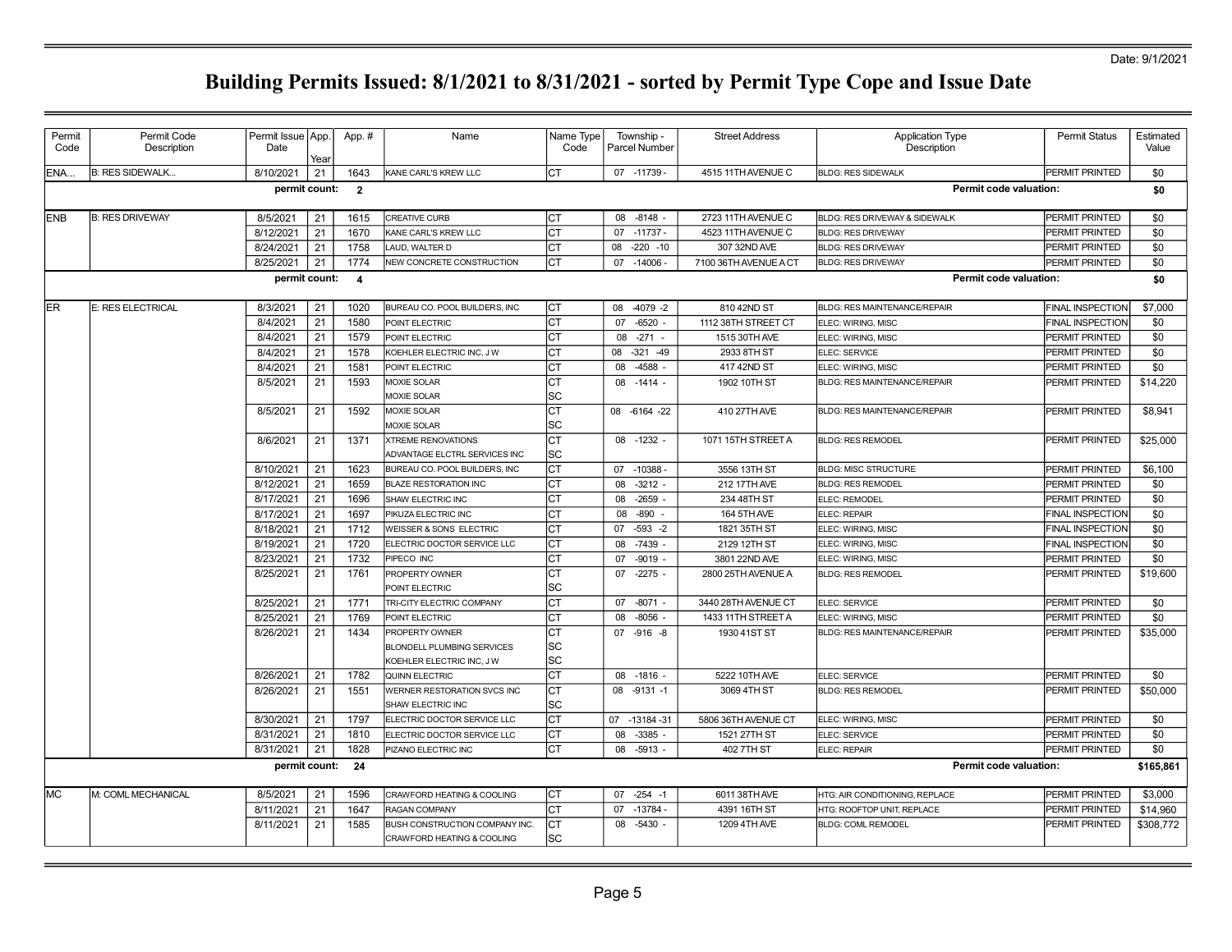| Permit<br>Code | Permit Code<br>Description | Permit Issue   App.<br>Date | Year | App.#                   | Name                                                                                   | Name Type<br>Code | Township -<br>Parcel Number | <b>Street Address</b> | <b>Application Type</b><br>Description | Permit Status           | Estimated<br>Value |
|----------------|----------------------------|-----------------------------|------|-------------------------|----------------------------------------------------------------------------------------|-------------------|-----------------------------|-----------------------|----------------------------------------|-------------------------|--------------------|
| ENA            | <b>B: RES SIDEWALK</b>     | 8/10/2021                   | 21   | 1643                    | KANE CARL'S KREW LLC                                                                   | Iст               | 07 -11739 -                 | 4515 11TH AVENUE C    | <b>BLDG: RES SIDEWALK</b>              | PERMIT PRINTED          | \$0                |
|                |                            | permit count:               |      | $\overline{2}$          |                                                                                        |                   |                             |                       |                                        | Permit code valuation:  | \$0                |
| <b>IENB</b>    | <b>B: RES DRIVEWAY</b>     | 8/5/2021                    | 21   | 1615                    | <b>CREATIVE CURB</b>                                                                   | Iст               | $-8148 -$<br>08             | 2723 11TH AVENUE C    | BLDG: RES DRIVEWAY & SIDEWALK          | <b>PERMIT PRINTED</b>   | \$0                |
|                |                            | 8/12/2021                   | 21   | 1670                    | KANE CARL'S KREW LLC                                                                   | Iст               | 07 -11737 -                 | 4523 11TH AVENUE C    | <b>BLDG: RES DRIVEWAY</b>              | <b>PERMIT PRINTED</b>   | \$0                |
|                |                            | 8/24/2021                   | 21   | 1758                    | LAUD, WALTER D                                                                         | Iст               | $-220 - 10$<br>08           | 307 32ND AVE          | <b>BLDG: RES DRIVEWAY</b>              | PERMIT PRINTED          | \$0                |
|                |                            | 8/25/2021                   | 21   | 1774                    | NEW CONCRETE CONSTRUCTION                                                              | Iст               | $-14006$<br>07              | 7100 36TH AVENUE A CT | <b>BLDG: RES DRIVEWAY</b>              | PERMIT PRINTED          | \$0                |
|                |                            | permit count:               |      | $\overline{\mathbf{4}}$ |                                                                                        |                   |                             |                       |                                        | Permit code valuation:  | \$0                |
| ler            | E: RES ELECTRICAL          | 8/3/2021                    | 21   | 1020                    | BUREAU CO. POOL BUILDERS, INC                                                          | Iст               | $-4079 - 2$<br>08           | 810 42ND ST           | <b>BLDG: RES MAINTENANCE/REPAIR</b>    | <b>FINAL INSPECTION</b> | \$7,000            |
|                |                            | 8/4/2021                    | 21   | 1580                    | POINT ELECTRIC                                                                         | Iст               | 07<br>$-6520 -$             | 1112 38TH STREET CT   | ELEC: WIRING, MISC                     | <b>FINAL INSPECTION</b> | \$0                |
|                |                            | 8/4/2021                    | 21   | 1579                    | POINT ELECTRIC                                                                         | Iст               | $-271 -$<br>08              | 1515 30TH AVE         | ELEC: WIRING, MISC                     | <b>PERMIT PRINTED</b>   | \$0                |
|                |                            | 8/4/2021                    | 21   | 1578                    | KOEHLER ELECTRIC INC, JW                                                               | Iст               | $-321 - 49$<br>08           | 2933 8TH ST           | ELEC: SERVICE                          | PERMIT PRINTED          | \$0                |
|                |                            | 8/4/2021                    | 21   | 1581                    | POINT ELECTRIC                                                                         | Іст               | 08<br>$-4588 -$             | 417 42ND ST           | ELEC: WIRING, MISC                     | PERMIT PRINTED          | \$0                |
|                |                            | 8/5/2021                    | 21   | 1593                    | <b>MOXIE SOLAR</b><br><b>MOXIE SOLAR</b>                                               | Iст<br>lsc        | $-1414 -$<br>08             | 1902 10TH ST          | <b>BLDG: RES MAINTENANCE/REPAIR</b>    | <b>IPERMIT PRINTED</b>  | \$14,220           |
|                |                            | 8/5/2021                    | 21   | 1592                    | <b>MOXIE SOLAR</b><br><b>MOXIE SOLAR</b>                                               | Iст<br>lsc        | 08 -6164 -22                | 410 27TH AVE          | <b>BLDG: RES MAINTENANCE/REPAIR</b>    | <b>PERMIT PRINTED</b>   | \$8,941            |
|                |                            | 8/6/2021                    | 21   | 1371                    | <b>XTREME RENOVATIONS</b><br>ADVANTAGE ELCTRL SERVICES INC                             | Iст<br>lsc        | 08 -1232 -                  | 1071 15TH STREET A    | <b>BLDG: RES REMODEL</b>               | PERMIT PRINTED          | \$25,000           |
|                |                            | 8/10/2021                   | 21   | 1623                    | BUREAU CO. POOL BUILDERS, INC                                                          | Iст               | 07 -10388 -                 | 3556 13TH ST          | BLDG: MISC STRUCTURE                   | PERMIT PRINTED          | \$6,100            |
|                |                            | 8/12/2021                   | 21   | 1659                    | <b>BLAZE RESTORATION INC</b>                                                           | Iст               | $-3212 -$<br>08             | 212 17TH AVE          | <b>BLDG: RES REMODEL</b>               | <b>PERMIT PRINTED</b>   | \$0                |
|                |                            | 8/17/2021                   | 21   | 1696                    | SHAW ELECTRIC INC                                                                      | Iст               | $-2659 -$<br>08             | 234 48TH ST           | ELEC: REMODEL                          | <b>PERMIT PRINTED</b>   | \$0                |
|                |                            | 8/17/2021                   | 21   | 1697                    | PIKUZA ELECTRIC INC                                                                    | Iст               | $-890 -$<br>08              | <b>164 5TH AVE</b>    | ELEC: REPAIR                           | <b>FINAL INSPECTION</b> | \$0                |
|                |                            | 8/18/2021                   | 21   | 1712                    | <b>WEISSER &amp; SONS ELECTRIC</b>                                                     | ICT               | $-593 - 2$<br>07            | 1821 35TH ST          | ELEC: WIRING, MISC                     | <b>FINAL INSPECTION</b> | \$0                |
|                |                            | 8/19/2021                   | 21   | 1720                    | ELECTRIC DOCTOR SERVICE LLC                                                            | Iст               | $-7439 -$<br>08             | 2129 12TH ST          | ELEC: WIRING, MISC                     | <b>FINAL INSPECTION</b> | \$0                |
|                |                            | 8/23/2021                   | 21   | 1732                    | PIPECO INC                                                                             | Iст               | 07<br>$-9019 -$             | 3801 22ND AVE         | ELEC: WIRING, MISC                     | PERMIT PRINTED          | \$0                |
|                |                            | 8/25/2021                   | 21   | 1761                    | PROPERTY OWNER<br>POINT ELECTRIC                                                       | Iст<br>lsc        | 07<br>$-2275 -$             | 2800 25TH AVENUE A    | <b>BLDG: RES REMODEL</b>               | PERMIT PRINTED          | \$19,600           |
|                |                            | 8/25/2021                   | 21   | 1771                    | TRI-CITY ELECTRIC COMPANY                                                              | Iст               | $-8071 -$<br>07             | 3440 28TH AVENUE CT   | ELEC: SERVICE                          | <b>PERMIT PRINTED</b>   | \$0                |
|                |                            | 8/25/2021                   | 21   | 1769                    | <b>POINT ELECTRIC</b>                                                                  | Iст               | $-8056 -$<br>08             | 1433 11TH STREET A    | ELEC: WIRING, MISC                     | PERMIT PRINTED          | \$0                |
|                |                            | 8/26/2021                   | 21   | 1434                    | <b>PROPERTY OWNER</b><br><b>BLONDELL PLUMBING SERVICES</b><br>KOEHLER ELECTRIC INC, JW | Iст<br> SC<br>lsc | 07 -916 -8                  | 1930 41ST ST          | <b>BLDG: RES MAINTENANCE/REPAIR</b>    | <b>PERMIT PRINTED</b>   | \$35,000           |
|                |                            | 8/26/2021                   | 21   | 1782                    | QUINN ELECTRIC                                                                         | Iст               | $-1816 -$<br>08             | 5222 10TH AVE         | ELEC: SERVICE                          | PERMIT PRINTED          | \$0                |
|                |                            | 8/26/2021                   | 21   | 1551                    | WERNER RESTORATION SVCS INC<br>SHAW ELECTRIC INC                                       | Iст<br>lsc        | 08<br>$-9131 - 1$           | 3069 4TH ST           | <b>BLDG: RES REMODEL</b>               | PERMIT PRINTED          | \$50,000           |
|                |                            | 8/30/2021                   | 21   | 1797                    | ELECTRIC DOCTOR SERVICE LLC                                                            | Iст               | 07 -13184 -31               | 5806 36TH AVENUE CT   | ELEC: WIRING, MISC                     | PERMIT PRINTED          | \$0                |
|                |                            | 8/31/2021                   | 21   | 1810                    | ELECTRIC DOCTOR SERVICE LLC                                                            | Iст               | $-3385 -$<br>08             | 1521 27TH ST          | ELEC: SERVICE                          | PERMIT PRINTED          | \$0                |
|                |                            | 8/31/2021                   | 21   | 1828                    | PIZANO ELECTRIC INC                                                                    | Iст               | 08<br>$-5913$               | 402 7TH ST            | ELEC: REPAIR                           | PERMIT PRINTED          | \$0                |
|                |                            | permit count:               |      | 24                      |                                                                                        |                   |                             |                       |                                        | Permit code valuation:  | \$165,861          |
| IMC.           | M: COML MECHANICAL         | 8/5/2021                    | 21   | 1596                    | CRAWFORD HEATING & COOLING                                                             | Iст               | $-254 - 1$<br>07            | 6011 38TH AVE         | HTG: AIR CONDITIONING, REPLACE         | <b>PERMIT PRINTED</b>   | \$3,000            |
|                |                            | 8/11/2021                   | 21   | 1647                    | <b>RAGAN COMPANY</b>                                                                   | lст               | 07<br>$-13784-$             | 4391 16TH ST          | HTG: ROOFTOP UNIT. REPLACE             | PERMIT PRINTED          | \$14,960           |
|                |                            | 8/11/2021                   | 21   | 1585                    | BUSH CONSTRUCTION COMPANY INC.<br>CRAWFORD HEATING & COOLING                           | Iст<br>lsc        | 08<br>$-5430 -$             | 1209 4TH AVE          | <b>BLDG: COML REMODEL</b>              | PERMIT PRINTED          | \$308,772          |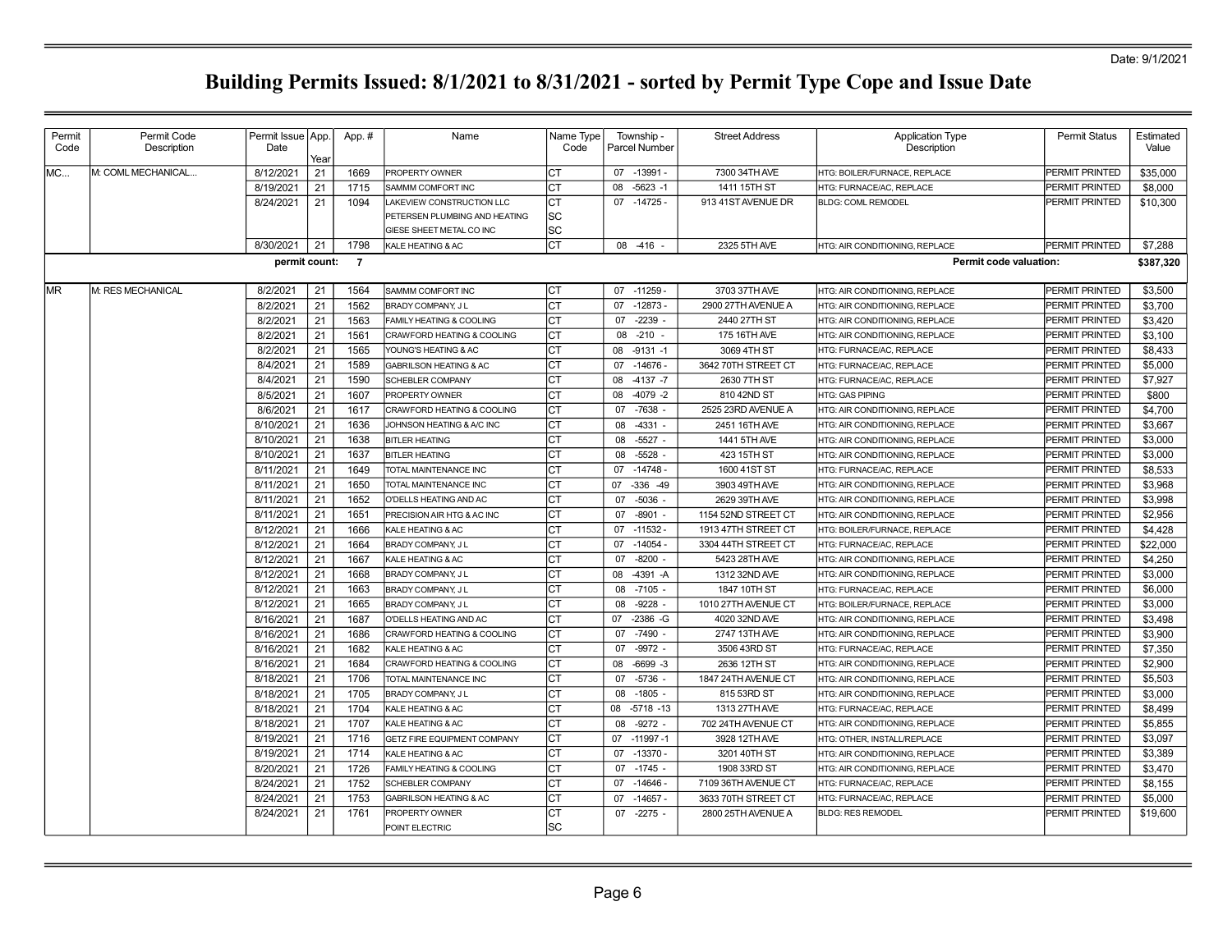| Permit | Permit Code         | Permit Issue   App. |      | App.#          | Name                               | Name Type | Township -         | <b>Street Address</b> | <b>Application Type</b>        | <b>Permit Status</b>  | Estimated |
|--------|---------------------|---------------------|------|----------------|------------------------------------|-----------|--------------------|-----------------------|--------------------------------|-----------------------|-----------|
| Code   | Description         | Date                | Year |                |                                    | Code      | Parcel Number      |                       | Description                    |                       | Value     |
| MC     | M: COML MECHANICAL. | 8/12/2021           | 21   | 1669           | PROPERTY OWNER                     | Iст       | 07 -13991          | 7300 34TH AVE         | HTG: BOILER/FURNACE, REPLACE   | PERMIT PRINTED        | \$35,000  |
|        |                     | 8/19/2021           | 21   | 1715           | SAMMM COMFORT INC                  | <b>CT</b> | $-5623 - 1$<br>08  | 1411 15TH ST          | HTG: FURNACE/AC, REPLACE       | <b>PERMIT PRINTED</b> | \$8,000   |
|        |                     | 8/24/2021           | 21   | 1094           | AKEVIEW CONSTRUCTION LLC           | <b>CT</b> | $-14725-$<br>07    | 913 41ST AVENUE DR    | <b>BLDG: COML REMODEL</b>      | PERMIT PRINTED        | \$10,300  |
|        |                     |                     |      |                | PETERSEN PLUMBING AND HEATING      | lsc       |                    |                       |                                |                       |           |
|        |                     |                     |      |                | GIESE SHEET METAL CO INC           | lsc       |                    |                       |                                |                       |           |
|        |                     | 8/30/2021           | 21   | 1798           | KALE HEATING & AC                  | <b>CT</b> | 08<br>-416         | 2325 5TH AVE          | HTG: AIR CONDITIONING, REPLACE | PERMIT PRINTED        | \$7,288   |
|        |                     | permit count:       |      | $\overline{7}$ |                                    |           |                    |                       | Permit code valuation:         |                       | \$387,320 |
| IMR.   | IM: RES MECHANICAL  | 8/2/2021            | 21   | 1564           | SAMMM COMFORT INC                  | Iст       | 07 -11259 -        | 3703 37TH AVE         | HTG: AIR CONDITIONING, REPLACE | PERMIT PRINTED        | \$3,500   |
|        |                     | 8/2/2021            | 21   | 1562           | BRADY COMPANY, J L                 | Iст       | $-12873-$<br>07    | 2900 27TH AVENUE A    | HTG: AIR CONDITIONING, REPLACE | <b>PERMIT PRINTED</b> | \$3,700   |
|        |                     | 8/2/2021            | 21   | 1563           | FAMILY HEATING & COOLING           | Iст       | $-2239$<br>07      | 2440 27TH ST          | HTG: AIR CONDITIONING, REPLACE | PERMIT PRINTED        | \$3,420   |
|        |                     | 8/2/2021            | 21   | 1561           | CRAWFORD HEATING & COOLING         | Iст       | $-210 -$<br>08     | 175 16TH AVE          | HTG: AIR CONDITIONING, REPLACE | PERMIT PRINTED        | \$3,100   |
|        |                     | 8/2/2021            | 21   | 1565           | YOUNG'S HEATING & AC               | <b>CT</b> | 08<br>$-9131 - 1$  | 3069 4TH ST           | HTG: FURNACE/AC, REPLACE       | <b>PERMIT PRINTED</b> | \$8.433   |
|        |                     | 8/4/2021            | 21   | 1589           | <b>GABRILSON HEATING &amp; AC</b>  | СT        | $-14676 -$<br>07   | 3642 70TH STREET CT   | HTG: FURNACE/AC, REPLACE       | PERMIT PRINTED        | \$5,000   |
|        |                     | 8/4/2021            | 21   | 1590           | SCHEBLER COMPANY                   | СT        | $-4137 - 7$<br>08  | 2630 7TH ST           | HTG: FURNACE/AC, REPLACE       | PERMIT PRINTED        | \$7,927   |
|        |                     | 8/5/2021            | 21   | 1607           | PROPERTY OWNER                     | СT        | $-4079 - 2$<br>08  | 810 42ND ST           | <b>HTG: GAS PIPING</b>         | PERMIT PRINTED        | \$800     |
|        |                     | 8/6/2021            | 21   | 1617           | CRAWFORD HEATING & COOLING         | Iст       | 07<br>$-7638 -$    | 2525 23RD AVENUE A    | HTG: AIR CONDITIONING, REPLACE | PERMIT PRINTED        | \$4,700   |
|        |                     | 8/10/2021           | 21   | 1636           | JOHNSON HEATING & A/C INC          | <b>CT</b> | $-4331 -$<br>08    | 2451 16TH AVE         | HTG: AIR CONDITIONING, REPLACE | PERMIT PRINTED        | \$3,667   |
|        |                     | 8/10/2021           | 21   | 1638           | <b>BITLER HEATING</b>              | Iст       | $-5527 -$<br>08    | 1441 5TH AVE          | HTG: AIR CONDITIONING, REPLACE | PERMIT PRINTED        | \$3,000   |
|        |                     | 8/10/2021           | 21   | 1637           | <b>BITLER HEATING</b>              | Iст       | $-5528$<br>08      | 423 15TH ST           | HTG: AIR CONDITIONING, REPLACE | PERMIT PRINTED        | \$3,000   |
|        |                     | 8/11/2021           | 21   | 1649           | TOTAL MAINTENANCE INC              | Iст       | $-14748 -$<br>07   | 1600 41ST ST          | HTG: FURNACE/AC, REPLACE       | <b>PERMIT PRINTED</b> | \$8,533   |
|        |                     | 8/11/2021           | 21   | 1650           | <b>TOTAL MAINTENANCE INC</b>       | <b>CT</b> | $-336 - 49$<br>07  | 3903 49TH AVE         | HTG: AIR CONDITIONING, REPLACE | PERMIT PRINTED        | \$3,968   |
|        |                     | 8/11/2021           | 21   | 1652           | O'DELLS HEATING AND AC             | СT        | 07<br>$-5036$      | 2629 39TH AVE         | HTG: AIR CONDITIONING, REPLACE | PERMIT PRINTED        | \$3,998   |
|        |                     | 8/11/2021           | 21   | 1651           | PRECISION AIR HTG & AC INC         | Iст       | $-8901 -$<br>07    | 1154 52ND STREET CT   | HTG: AIR CONDITIONING, REPLACE | PERMIT PRINTED        | \$2,956   |
|        |                     | 8/12/2021           | 21   | 1666           | KALE HEATING & AC                  | Iст       | $-11532 -$<br>07   | 1913 47TH STREET CT   | HTG: BOILER/FURNACE, REPLACE   | PERMIT PRINTED        | \$4,428   |
|        |                     | 8/12/2021           | 21   | 1664           | BRADY COMPANY, J L                 | Iст       | $-14054 -$<br>07   | 3304 44TH STREET CT   | HTG: FURNACE/AC, REPLACE       | PERMIT PRINTED        | \$22,000  |
|        |                     | 8/12/2021           | 21   | 1667           | KALE HEATING & AC                  | <b>CT</b> | $-8200$<br>07      | 5423 28TH AVE         | HTG: AIR CONDITIONING, REPLACE | PERMIT PRINTED        | \$4,250   |
|        |                     | 8/12/2021           | 21   | 1668           | BRADY COMPANY, JL                  | CT        | $-4391 - A$<br>08  | 1312 32ND AVE         | HTG: AIR CONDITIONING, REPLACE | PERMIT PRINTED        | \$3,000   |
|        |                     | 8/12/2021           | 21   | 1663           | BRADY COMPANY, J L                 | Iст       | 08<br>$-7105$      | 1847 10TH ST          | HTG: FURNACE/AC, REPLACE       | PERMIT PRINTED        | \$6,000   |
|        |                     | 8/12/2021           | 21   | 1665           | BRADY COMPANY, J L                 | Iст       | $-9228$<br>08      | 1010 27TH AVENUE CT   | HTG: BOILER/FURNACE, REPLACE   | PERMIT PRINTED        | \$3,000   |
|        |                     | 8/16/2021           | 21   | 1687           | <b>J'DELLS HEATING AND AC</b>      | <b>CT</b> | $-2386 - G$<br>07  | 4020 32ND AVE         | HTG: AIR CONDITIONING, REPLACE | <b>PERMIT PRINTED</b> | \$3,498   |
|        |                     | 8/16/2021           | 21   | 1686           | CRAWFORD HEATING & COOLING         | СT        | 07<br>$-7490$      | 2747 13TH AVE         | HTG: AIR CONDITIONING, REPLACE | PERMIT PRINTED        | \$3,900   |
|        |                     | 8/16/2021           | 21   | 1682           | KALE HEATING & AC                  | IСТ       | $-9972 -$<br>07    | 3506 43RD ST          | HTG: FURNACE/AC, REPLACE       | PERMIT PRINTED        | \$7,350   |
|        |                     | 8/16/2021           | 21   | 1684           | CRAWFORD HEATING & COOLING         | Iст       | $-6699 - 3$<br>08  | 2636 12TH ST          | HTG: AIR CONDITIONING, REPLACE | PERMIT PRINTED        | \$2,900   |
|        |                     | 8/18/2021           | 21   | 1706           | TOTAL MAINTENANCE INC              | Iст       | $-5736 -$<br>07    | 1847 24TH AVENUE CT   | HTG: AIR CONDITIONING, REPLACE | <b>PERMIT PRINTED</b> | \$5,503   |
|        |                     | 8/18/2021           | 21   | 1705           | BRADY COMPANY, J L                 | IСТ       | $-1805$<br>08      | 815 53RD ST           | HTG: AIR CONDITIONING, REPLACE | PERMIT PRINTED        | \$3,000   |
|        |                     | 8/18/2021           | 21   | 1704           | KALE HEATING & AC                  | Iст       | 08<br>$-5718 - 13$ | 1313 27TH AVE         | HTG: FURNACE/AC, REPLACE       | PERMIT PRINTED        | \$8,499   |
|        |                     | 8/18/2021           | 21   | 1707           | KALE HEATING & AC                  | Iст       | $-9272 -$<br>08    | 702 24TH AVENUE CT    | HTG: AIR CONDITIONING, REPLACE | <b>PERMIT PRINTED</b> | \$5,855   |
|        |                     | 8/19/2021           | 21   | 1716           | <b>GETZ FIRE EQUIPMENT COMPANY</b> | <b>CT</b> | 07<br>$-11997 - 1$ | 3928 12TH AVE         | HTG: OTHER, INSTALL/REPLACE    | PERMIT PRINTED        | \$3,097   |
|        |                     | 8/19/2021           | 21   | 1714           | <b>KALE HEATING &amp; AC</b>       | СT        | $-13370 -$<br>07   | 3201 40TH ST          | HTG: AIR CONDITIONING, REPLACE | PERMIT PRINTED        | \$3,389   |
|        |                     | 8/20/2021           | 21   | 1726           | FAMILY HEATING & COOLING           | СT        | 07<br>$-1745 -$    | 1908 33RD ST          | HTG: AIR CONDITIONING, REPLACE | PERMIT PRINTED        | \$3,470   |
|        |                     | 8/24/2021           | 21   | 1752           | SCHEBLER COMPANY                   | Iст       | $-14646-$<br>07    | 7109 36TH AVENUE CT   | HTG: FURNACE/AC, REPLACE       | PERMIT PRINTED        | \$8,155   |
|        |                     | 8/24/2021           | 21   | 1753           | <b>GABRILSON HEATING &amp; AC</b>  | lст       | $-14657 -$<br>07   | 3633 70TH STREET CT   | HTG: FURNACE/AC, REPLACE       | PERMIT PRINTED        | \$5,000   |
|        |                     | 8/24/2021           | 21   | 1761           | PROPERTY OWNER                     | Iст       | $-2275 -$<br>07    | 2800 25TH AVENUE A    | <b>BLDG: RES REMODEL</b>       | <b>PERMIT PRINTED</b> | \$19,600  |
|        |                     |                     |      |                | POINT ELECTRIC                     | lsc       |                    |                       |                                |                       |           |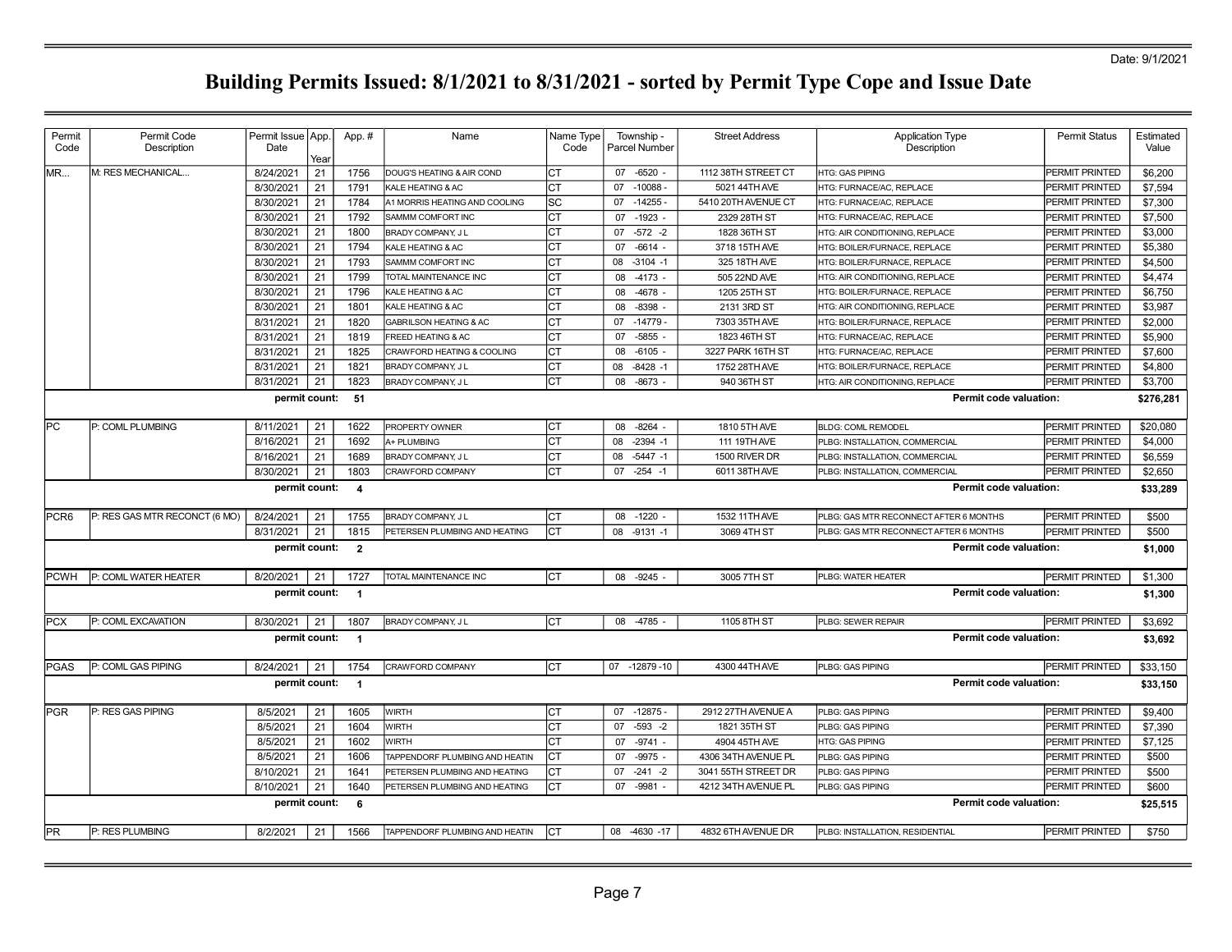| Permit           | Permit Code                   | Permit Issue   App. |            | App. #                   | Name                              | Name Type | Township -        | <b>Street Address</b> | <b>Application Type</b>                | Permit Status         | Estimated |
|------------------|-------------------------------|---------------------|------------|--------------------------|-----------------------------------|-----------|-------------------|-----------------------|----------------------------------------|-----------------------|-----------|
| Code             | Description                   | Date                |            |                          |                                   | Code      | Parcel Number     |                       | Description                            |                       | Value     |
| MR               | M: RES MECHANICAL             | 8/24/2021           | Year<br>21 | 1756                     | DOUG'S HEATING & AIR COND         | СT        | 07 -6520 -        | 1112 38TH STREET CT   | <b>HTG: GAS PIPING</b>                 | <b>PERMIT PRINTED</b> | \$6,200   |
|                  |                               | 8/30/2021           | 21         | 1791                     | KALE HEATING & AC                 | СT        | $-10088 -$<br>07  | 5021 44TH AVE         | <b>HTG: FURNACE/AC, REPLACE</b>        | <b>PERMIT PRINTED</b> | \$7,594   |
|                  |                               | 8/30/2021           | 21         | 1784                     | A1 MORRIS HEATING AND COOLING     | lsc       | $-14255-$<br>07   | 5410 20TH AVENUE CT   | HTG: FURNACE/AC. REPLACE               | <b>PERMIT PRINTED</b> | \$7,300   |
|                  |                               | 8/30/2021           | 21         | 1792                     | SAMMM COMFORT INC                 | Iст       | $-1923 -$<br>07   | 2329 28TH ST          | HTG: FURNACE/AC, REPLACE               | PERMIT PRINTED        | \$7,500   |
|                  |                               | 8/30/2021           | 21         | 1800                     | BRADY COMPANY, JL                 | Iст       | $-572 - 2$<br>07  | 1828 36TH ST          | HTG: AIR CONDITIONING, REPLACE         | PERMIT PRINTED        | \$3,000   |
|                  |                               | 8/30/2021           | 21         | 1794                     | KALE HEATING & AC                 | Iст       | $-6614 -$<br>07   | 3718 15TH AVE         | HTG: BOILER/FURNACE, REPLACE           | PERMIT PRINTED        | \$5,380   |
|                  |                               | 8/30/2021           | 21         | 1793                     | SAMMM COMFORT INC                 | CT        | 08<br>$-3104 - 1$ | 325 18TH AVE          | HTG: BOILER/FURNACE, REPLACE           | <b>PERMIT PRINTED</b> | \$4,500   |
|                  |                               | 8/30/2021           | 21         | 1799                     | TOTAL MAINTENANCE INC             | Iст       | 08<br>$-4173$     | 505 22ND AVE          | HTG: AIR CONDITIONING, REPLACE         | PERMIT PRINTED        | \$4,474   |
|                  |                               | 8/30/2021           | 21         | 1796                     | KALE HEATING & AC                 | <b>CT</b> | $-4678$<br>08     | 1205 25TH ST          | HTG: BOILER/FURNACE, REPLACE           | <b>PERMIT PRINTED</b> | \$6,750   |
|                  |                               | 8/30/2021           | 21         | 1801                     | KALE HEATING & AC                 | СT        | 08<br>$-8398$     | 2131 3RD ST           | HTG: AIR CONDITIONING, REPLACE         | <b>PERMIT PRINTED</b> | \$3,987   |
|                  |                               | 8/31/2021           | 21         | 1820                     | <b>GABRILSON HEATING &amp; AC</b> | CT        | $-14779$<br>07    | 7303 35TH AVE         | HTG: BOILER/FURNACE, REPLACE           | <b>PERMIT PRINTED</b> | \$2,000   |
|                  |                               | 8/31/2021           | 21         | 1819                     | FREED HEATING & AC                | CT        | $-5855$<br>07     | 1823 46TH ST          | <b>HTG: FURNACE/AC, REPLACE</b>        | <b>PERMIT PRINTED</b> | \$5,900   |
|                  |                               | 8/31/2021           | 21         | 1825                     | CRAWFORD HEATING & COOLING        | СT        | $-6105 -$<br>08   | 3227 PARK 16TH ST     | <b>HTG: FURNACE/AC, REPLACE</b>        | <b>PERMIT PRINTED</b> | \$7,600   |
|                  |                               | 8/31/2021           | 21         | 1821                     | BRADY COMPANY, JL                 | Iст       | 08<br>$-8428 - 1$ | 1752 28TH AVE         | HTG: BOILER/FURNACE, REPLACE           | <b>PERMIT PRINTED</b> | \$4,800   |
|                  |                               | 8/31/2021           | 21         | 1823                     | BRADY COMPANY, JL                 | Iст       | $-8673 -$<br>08   | 940 36TH ST           | <b>HTG: AIR CONDITIONING, REPLACE</b>  | PERMIT PRINTED        | \$3,700   |
|                  |                               | permit count:       |            | 51                       |                                   |           |                   |                       | <b>Permit code valuation:</b>          |                       | \$276,281 |
|                  |                               |                     |            |                          |                                   |           |                   |                       |                                        |                       |           |
| <b>PC</b>        | P: COML PLUMBING              | 8/11/2021           | 21         | 1622                     | PROPERTY OWNER                    | Iст       | $-8264 -$<br>08   | 1810 5TH AVE          | <b>BLDG: COML REMODEL</b>              | <b>PERMIT PRINTED</b> | \$20,080  |
|                  |                               | 8/16/2021           | 21         | 1692                     | A+ PLUMBING                       | Iст       | $-2394 - 1$<br>08 | 111 19TH AVE          | PLBG: INSTALLATION, COMMERCIAL         | PERMIT PRINTED        | \$4,000   |
|                  |                               | 8/16/2021           | 21         | 1689                     | BRADY COMPANY, JL                 | СT        | $-5447 - 1$<br>08 | 1500 RIVER DR         | PLBG: INSTALLATION, COMMERCIAL         | PERMIT PRINTED        | \$6,559   |
|                  |                               | 8/30/2021           | 21         | 1803                     | CRAWFORD COMPANY                  | Iст       | $-254 - 1$<br>07  | 6011 38TH AVE         | PLBG: INSTALLATION, COMMERCIAL         | PERMIT PRINTED        | \$2,650   |
|                  |                               | permit count:       |            | $\overline{\mathbf{4}}$  |                                   |           |                   |                       | Permit code valuation:                 |                       | \$33,289  |
| PCR <sub>6</sub> | P: RES GAS MTR RECONCT (6 MO) | 8/24/2021           | 21         | 1755                     | BRADY COMPANY, J L                | Iст       | $-1220$<br>08     | 1532 11TH AVE         | PLBG: GAS MTR RECONNECT AFTER 6 MONTHS | <b>PERMIT PRINTED</b> | \$500     |
|                  |                               | 8/31/2021           | 21         | 1815                     | PETERSEN PLUMBING AND HEATING     | Iст       | 08 -9131 -1       | 3069 4TH ST           | PLBG: GAS MTR RECONNECT AFTER 6 MONTHS | PERMIT PRINTED        | \$500     |
|                  |                               | permit count:       |            | $\overline{\mathbf{2}}$  |                                   |           |                   |                       | <b>Permit code valuation:</b>          |                       | \$1,000   |
|                  |                               |                     |            |                          |                                   |           |                   |                       |                                        |                       |           |
| <b>IPCWH</b>     | <b>P: COML WATER HEATER</b>   | 8/20/2021           | 21         | 1727                     | TOTAL MAINTENANCE INC             | Iст       | 08 -9245 -        | 3005 7TH ST           | PLBG: WATER HEATER                     | PERMIT PRINTED        | \$1,300   |
|                  |                               | permit count:       |            | $\overline{1}$           |                                   |           |                   |                       | Permit code valuation:                 |                       | \$1,300   |
| <b>PCX</b>       | P: COML EXCAVATION            | 8/30/2021           | 21         | 1807                     | BRADY COMPANY, JL                 | Iст       | 08 -4785          | 1105 8TH ST           | PLBG: SEWER REPAIR                     | PERMIT PRINTED        | \$3,692   |
|                  |                               | permit count:       |            | $\overline{\phantom{0}}$ |                                   |           |                   |                       | Permit code valuation:                 |                       | \$3,692   |
|                  |                               |                     |            |                          |                                   |           |                   |                       |                                        |                       |           |
| <b>PGAS</b>      | P: COML GAS PIPING            | 8/24/2021           | 21         | 1754                     | <b>CRAWFORD COMPANY</b>           | Iст       | 07 -12879 -10     | 4300 44TH AVE         | PLBG: GAS PIPING                       | <b>PERMIT PRINTED</b> | \$33,150  |
|                  |                               | permit count:       |            | $\overline{1}$           |                                   |           |                   |                       | Permit code valuation:                 |                       | \$33,150  |
| <b>PGR</b>       | P: RES GAS PIPING             | 8/5/2021            | 21         | 1605                     | <b>WIRTH</b>                      | Iст       | $-12875-$<br>07   | 2912 27TH AVENUE A    | PLBG: GAS PIPING                       | PERMIT PRINTED        | \$9,400   |
|                  |                               | 8/5/2021            | 21         | 1604                     | <b>WIRTH</b>                      | CT        | $-593 - 2$<br>07  | 1821 35TH ST          | PLBG: GAS PIPING                       | PERMIT PRINTED        | \$7,390   |
|                  |                               | 8/5/2021            | 21         | 1602                     | <b>WIRTH</b>                      | Iст       | $-9741 -$<br>07   | 4904 45TH AVE         | HTG: GAS PIPING                        | <b>PERMIT PRINTED</b> | \$7,125   |
|                  |                               | 8/5/2021            | 21         | 1606                     | TAPPENDORF PLUMBING AND HEATIN    | CT        | $-9975 -$<br>07   | 4306 34TH AVENUE PL   | PLBG: GAS PIPING                       | PERMIT PRINTED        | \$500     |
|                  |                               | 8/10/2021           | 21         | 1641                     | PETERSEN PLUMBING AND HEATING     | СT        | 07<br>$-241 - 2$  | 3041 55TH STREET DR   | PLBG: GAS PIPING                       | PERMIT PRINTED        | \$500     |
|                  |                               | 8/10/2021           | 21         | 1640                     | PETERSEN PLUMBING AND HEATING     | CT        | 07<br>-9981       | 4212 34TH AVENUE PL   | PLBG: GAS PIPING                       | PERMIT PRINTED        | \$600     |
|                  |                               | permit count:       |            | 6                        |                                   |           |                   |                       | Permit code valuation:                 |                       | \$25,515  |
|                  |                               |                     |            |                          |                                   |           |                   |                       |                                        |                       |           |
| PR               | P: RES PLUMBING               | 8/2/2021            | 21         | 1566                     | TAPPENDORF PLUMBING AND HEATIN    | Iст       | 08 -4630 -17      | 4832 6TH AVENUE DR    | PLBG: INSTALLATION, RESIDENTIAL        | PERMIT PRINTED        | \$750     |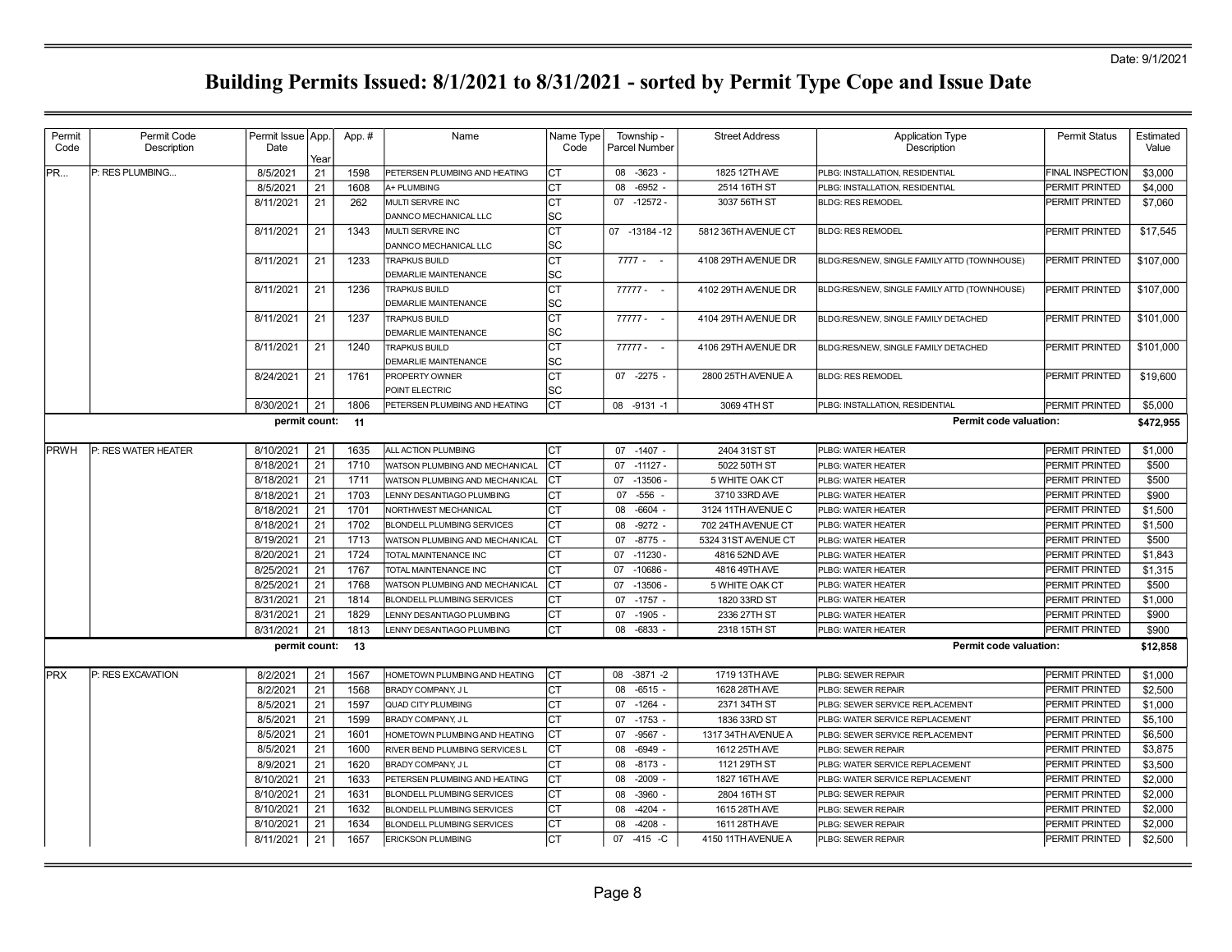| Permit<br>Code | Permit Code<br>Description | Permit Issue   App.<br>Date                                       |          | App. # | Name                                                | Name Type<br>Code | Township -<br>Parcel Number  | <b>Street Address</b>        | <b>Application Type</b><br>Description                             | <b>Permit Status</b>             | Estimated<br>Value |  |  |  |  |
|----------------|----------------------------|-------------------------------------------------------------------|----------|--------|-----------------------------------------------------|-------------------|------------------------------|------------------------------|--------------------------------------------------------------------|----------------------------------|--------------------|--|--|--|--|
|                |                            |                                                                   | Year     |        |                                                     |                   |                              |                              |                                                                    |                                  |                    |  |  |  |  |
| PR             | P: RES PLUMBING            | 8/5/2021<br>8/5/2021                                              | 21<br>21 | 1598   | PETERSEN PLUMBING AND HEATING<br>A+ PLUMBING        | Iст               | $-3623 -$<br>08<br>80        | 1825 12TH AVE                | PLBG: INSTALLATION, RESIDENTIAL<br>PLBG: INSTALLATION, RESIDENTIAL | <b>FINAL INSPECTION</b>          | \$3,000            |  |  |  |  |
|                |                            |                                                                   |          | 1608   |                                                     | СT<br>Iст         | $-6952 -$<br>07<br>$-12572-$ | 2514 16TH ST<br>3037 56TH ST |                                                                    | PERMIT PRINTED<br>PERMIT PRINTED | \$4,000            |  |  |  |  |
|                |                            | 8/11/2021                                                         | 21       | 262    | MULTI SERVRE INC<br>DANNCO MECHANICAL LLC           | lsc               |                              |                              | <b>BLDG: RES REMODEL</b>                                           |                                  | \$7,060            |  |  |  |  |
|                |                            | 8/11/2021                                                         | 21       | 1343   | MULTI SERVRE INC<br>DANNCO MECHANICAL LLC           | Iст<br> SC        | 07 -13184 -12                | 5812 36TH AVENUE CT          | <b>BLDG: RES REMODEL</b>                                           | PERMIT PRINTED                   | \$17,545           |  |  |  |  |
|                |                            | 8/11/2021                                                         | 21       | 1233   | <b>TRAPKUS BUILD</b><br>DEMARLIE MAINTENANCE        | lст<br>lsc        | $7777 - -$                   | 4108 29TH AVENUE DR          | BLDG:RES/NEW, SINGLE FAMILY ATTD (TOWNHOUSE)                       | PERMIT PRINTED                   | \$107,000          |  |  |  |  |
|                |                            | 8/11/2021                                                         | 21       | 1236   | <b>TRAPKUS BUILD</b>                                | <b>CT</b><br>lsc  | $77777 - -$                  | 4102 29TH AVENUE DR          | BLDG:RES/NEW, SINGLE FAMILY ATTD (TOWNHOUSE)                       | PERMIT PRINTED                   | \$107,000          |  |  |  |  |
|                |                            |                                                                   |          |        | <b>DEMARLIE MAINTENANCE</b>                         |                   |                              |                              |                                                                    |                                  |                    |  |  |  |  |
|                |                            | 8/11/2021                                                         | 21       | 1237   | <b>TRAPKUS BUILD</b><br><b>DEMARLIE MAINTENANCE</b> | <b>CT</b><br>lsc  | $77777 - -$                  | 4104 29TH AVENUE DR          | BLDG:RES/NEW, SINGLE FAMILY DETACHED                               | PERMIT PRINTED                   | \$101,000          |  |  |  |  |
|                |                            | 8/11/2021                                                         | 21       | 1240   | <b>TRAPKUS BUILD</b><br><b>DEMARLIE MAINTENANCE</b> | СT<br>lsc         | 77777 - -                    | 4106 29TH AVENUE DR          | BLDG:RES/NEW, SINGLE FAMILY DETACHED                               | PERMIT PRINTED                   | \$101,000          |  |  |  |  |
|                |                            | 8/24/2021                                                         | 21       | 1761   | <b>PROPERTY OWNER</b><br>POINT ELECTRIC             | СT<br>lsc         | 07 -2275 -                   | 2800 25TH AVENUE A           | <b>BLDG: RES REMODEL</b>                                           | PERMIT PRINTED                   | \$19,600           |  |  |  |  |
|                |                            | 8/30/2021                                                         | 21       | 1806   | PETERSEN PLUMBING AND HEATING                       | Іст               | 08 -9131 -1                  | 3069 4TH ST                  | PLBG: INSTALLATION, RESIDENTIAL                                    | PERMIT PRINTED                   | \$5,000            |  |  |  |  |
|                |                            |                                                                   |          |        |                                                     |                   |                              |                              |                                                                    |                                  |                    |  |  |  |  |
|                |                            | <b>Permit code valuation:</b><br>permit count:<br>11<br>\$472,955 |          |        |                                                     |                   |                              |                              |                                                                    |                                  |                    |  |  |  |  |
| <b>IPRWH</b>   | P: RES WATER HEATER        | 8/10/2021                                                         | 21       | 1635   | ALL ACTION PLUMBING                                 | CT                | $-1407 -$<br>07              | 2404 31ST ST                 | PLBG: WATER HEATER                                                 | PERMIT PRINTED                   | \$1,000            |  |  |  |  |
|                |                            | 8/18/2021                                                         | 21       | 1710   | WATSON PLUMBING AND MECHANICAL                      | Iст               | 07<br>$-11127 -$             | 5022 50TH ST                 | PLBG: WATER HEATER                                                 | PERMIT PRINTED                   | \$500              |  |  |  |  |
|                |                            | 8/18/2021                                                         | 21       | 1711   | WATSON PLUMBING AND MECHANICAL                      | Iст               | $-13506 -$<br>07             | 5 WHITE OAK CT               | PLBG: WATER HEATER                                                 | PERMIT PRINTED                   | \$500              |  |  |  |  |
|                |                            | 8/18/2021                                                         | 21       | 1703   | LENNY DESANTIAGO PLUMBING                           | IСТ               | $-556 -$<br>07               | 3710 33RD AVE                | PLBG: WATER HEATER                                                 | PERMIT PRINTED                   | \$900              |  |  |  |  |
|                |                            | 8/18/2021                                                         | 21       | 1701   | NORTHWEST MECHANICAL                                | Iст               | $-6604 -$<br>08              | 3124 11TH AVENUE C           | PLBG: WATER HEATER                                                 | PERMIT PRINTED                   | \$1,500            |  |  |  |  |
|                |                            | 8/18/2021                                                         | 21       | 1702   | <b>BLONDELL PLUMBING SERVICES</b>                   | Iст               | $-9272 -$<br>08              | 702 24TH AVENUE CT           | PLBG: WATER HEATER                                                 | PERMIT PRINTED                   | \$1,500            |  |  |  |  |
|                |                            | 8/19/2021                                                         | 21       | 1713   | WATSON PLUMBING AND MECHANICAL                      | lст               | $-8775 -$<br>07              | 5324 31ST AVENUE CT          | PLBG: WATER HEATER                                                 | PERMIT PRINTED                   | \$500              |  |  |  |  |
|                |                            | 8/20/2021                                                         | 21       | 1724   | TOTAL MAINTENANCE INC                               | <b>CT</b>         | $-11230 -$<br>07             | 4816 52ND AVE                | PLBG: WATER HEATER                                                 | PERMIT PRINTED                   | \$1,843            |  |  |  |  |
|                |                            | 8/25/2021                                                         | 21       | 1767   | TOTAL MAINTENANCE INC                               | CT                | 07<br>$-10686$               | 4816 49TH AVE                | PLBG: WATER HEATER                                                 | PERMIT PRINTED                   | \$1,315            |  |  |  |  |
|                |                            | 8/25/2021                                                         | 21       | 1768   | WATSON PLUMBING AND MECHANICAL                      | ICT               | $-13506 -$<br>07             | 5 WHITE OAK CT               | PLBG: WATER HEATER                                                 | PERMIT PRINTED                   | \$500              |  |  |  |  |
|                |                            | 8/31/2021                                                         | 21       | 1814   | <b>BLONDELL PLUMBING SERVICES</b>                   | СT                | $-1757 -$<br>07              | 1820 33RD ST                 | PLBG: WATER HEATER                                                 | PERMIT PRINTED                   | \$1,000            |  |  |  |  |
|                |                            | 8/31/2021                                                         | 21       | 1829   | LENNY DESANTIAGO PLUMBING                           | Iст               | $-1905$<br>07                | 2336 27TH ST                 | PLBG: WATER HEATER                                                 | PERMIT PRINTED                   | \$900              |  |  |  |  |
|                |                            | 8/31/2021                                                         | 21       | 1813   | LENNY DESANTIAGO PLUMBING                           | Iст               | 08<br>$-6833$                | 2318 15TH ST                 | PLBG: WATER HEATER                                                 | PERMIT PRINTED                   | \$900              |  |  |  |  |
|                |                            | permit count:                                                     |          | - 13   |                                                     |                   |                              |                              | Permit code valuation:                                             |                                  | \$12,858           |  |  |  |  |
| <b>IPRX</b>    | P: RES EXCAVATION          | 8/2/2021                                                          | 21       | 1567   | HOMETOWN PLUMBING AND HEATING                       | Iст               | $-3871 - 2$<br>08            | 1719 13TH AVE                | PLBG: SEWER REPAIR                                                 | <b>PERMIT PRINTED</b>            | \$1,000            |  |  |  |  |
|                |                            | 8/2/2021                                                          | 21       | 1568   | BRADY COMPANY, JL                                   | СT                | $-6515 -$<br>08              | 1628 28TH AVE                | PLBG: SEWER REPAIR                                                 | PERMIT PRINTED                   | \$2,500            |  |  |  |  |
|                |                            | 8/5/2021                                                          | 21       | 1597   | <b>QUAD CITY PLUMBING</b>                           | СT                | 07<br>$-1264 -$              | 2371 34TH ST                 | PLBG: SEWER SERVICE REPLACEMENT                                    | PERMIT PRINTED                   | \$1,000            |  |  |  |  |
|                |                            | 8/5/2021                                                          | 21       | 1599   | BRADY COMPANY, JL                                   | СT                | $-1753 -$<br>07              | 1836 33RD ST                 | PLBG: WATER SERVICE REPLACEMENT                                    | PERMIT PRINTED                   | \$5,100            |  |  |  |  |
|                |                            | 8/5/2021                                                          | 21       | 1601   | HOMETOWN PLUMBING AND HEATING                       | Iст               | $-9567 -$<br>07              | 1317 34TH AVENUE A           | PLBG: SEWER SERVICE REPLACEMENT                                    | PERMIT PRINTED                   | \$6,500            |  |  |  |  |
|                |                            | 8/5/2021                                                          | 21       | 1600   | RIVER BEND PLUMBING SERVICES L                      | IСТ               | 08<br>$-6949 -$              | 1612 25TH AVE                | PLBG: SEWER REPAIR                                                 | PERMIT PRINTED                   | \$3,875            |  |  |  |  |
|                |                            | 8/9/2021                                                          | 21       | 1620   | BRADY COMPANY, JL                                   | Iст               | $-8173 -$<br>08              | 1121 29TH ST                 | PLBG: WATER SERVICE REPLACEMENT                                    | PERMIT PRINTED                   | \$3,500            |  |  |  |  |
|                |                            | 8/10/2021                                                         | 21       | 1633   | PETERSEN PLUMBING AND HEATING                       | Iст               | $-2009 -$<br>08              | 1827 16TH AVE                | PLBG: WATER SERVICE REPLACEMENT                                    | PERMIT PRINTED                   | \$2,000            |  |  |  |  |
|                |                            | 8/10/2021                                                         | 21       | 1631   | <b>BLONDELL PLUMBING SERVICES</b>                   | CT                | $-3960$<br>08                | 2804 16TH ST                 | PLBG: SEWER REPAIR                                                 | PERMIT PRINTED                   | \$2,000            |  |  |  |  |
|                |                            | 8/10/2021                                                         | 21       | 1632   | <b>BLONDELL PLUMBING SERVICES</b>                   | lст               | $-4204 -$<br>08              | 1615 28TH AVE                | PLBG: SEWER REPAIR                                                 | PERMIT PRINTED                   | \$2,000            |  |  |  |  |
|                |                            | 8/10/2021                                                         | 21       | 1634   | <b>BLONDELL PLUMBING SERVICES</b>                   | CT                | $-4208 -$<br>08              | 1611 28TH AVE                | PLBG: SEWER REPAIR                                                 | PERMIT PRINTED                   | \$2,000            |  |  |  |  |
|                |                            | 8/11/2021                                                         | 21       | 1657   | <b>ERICKSON PLUMBING</b>                            | Iст               | -415 -C<br>07                | 4150 11TH AVENUE A           | PLBG: SEWER REPAIR                                                 | <b>PERMIT PRINTED</b>            | \$2,500            |  |  |  |  |